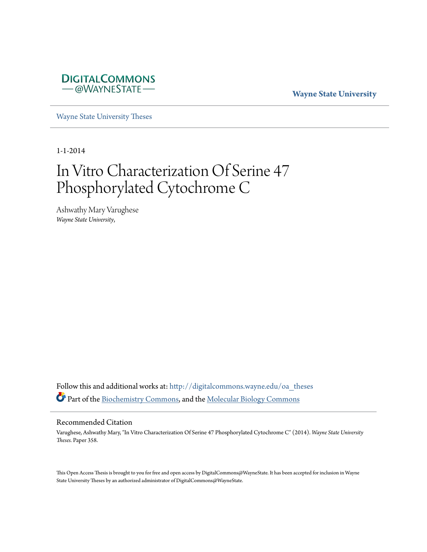

# **Wayne State University**

[Wayne State University Theses](http://digitalcommons.wayne.edu/oa_theses?utm_source=digitalcommons.wayne.edu%2Foa_theses%2F358&utm_medium=PDF&utm_campaign=PDFCoverPages)

1-1-2014

# In Vitro Characterization Of Serine 47 Phosphorylated Cytochrome C

Ashwathy Mary Varughese *Wayne State University*,

Follow this and additional works at: [http://digitalcommons.wayne.edu/oa\\_theses](http://digitalcommons.wayne.edu/oa_theses?utm_source=digitalcommons.wayne.edu%2Foa_theses%2F358&utm_medium=PDF&utm_campaign=PDFCoverPages) Part of the [Biochemistry Commons](http://network.bepress.com/hgg/discipline/2?utm_source=digitalcommons.wayne.edu%2Foa_theses%2F358&utm_medium=PDF&utm_campaign=PDFCoverPages), and the [Molecular Biology Commons](http://network.bepress.com/hgg/discipline/5?utm_source=digitalcommons.wayne.edu%2Foa_theses%2F358&utm_medium=PDF&utm_campaign=PDFCoverPages)

## Recommended Citation

Varughese, Ashwathy Mary, "In Vitro Characterization Of Serine 47 Phosphorylated Cytochrome C" (2014). *Wayne State University Theses.* Paper 358.

This Open Access Thesis is brought to you for free and open access by DigitalCommons@WayneState. It has been accepted for inclusion in Wayne State University Theses by an authorized administrator of DigitalCommons@WayneState.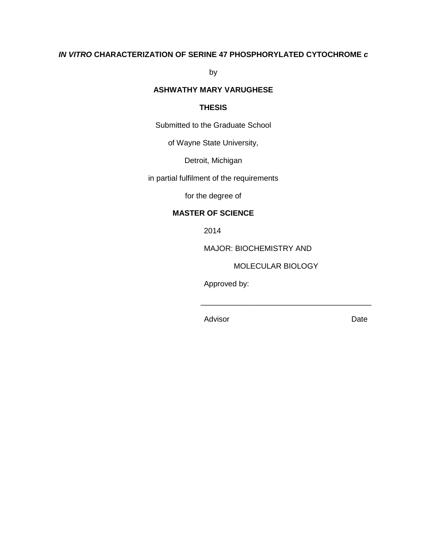# **IN VITRO CHARACTERIZATION OF SERINE 47 PHOSPHORYLATED CYTOCHROME c**

by

# **ASHWATHY MARY VARUGHESE**

# **THESIS**

Submitted to the Graduate School

of Wayne State University,

Detroit, Michigan

in partial fulfilment of the requirements

for the degree of

# **MASTER OF SCIENCE**

2014

MAJOR: BIOCHEMISTRY AND

MOLECULAR BIOLOGY

Approved by:

Advisor **Date** 

 $\overline{\phantom{a}}$  , and the contract of the contract of the contract of the contract of the contract of the contract of the contract of the contract of the contract of the contract of the contract of the contract of the contrac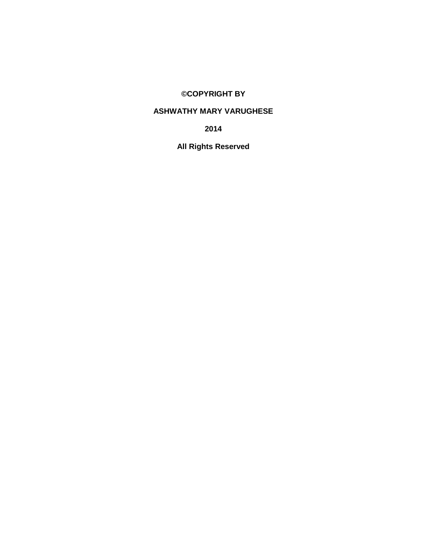# **©COPYRIGHT BY**

# **ASHWATHY MARY VARUGHESE**

**2014** 

**All Rights Reserved**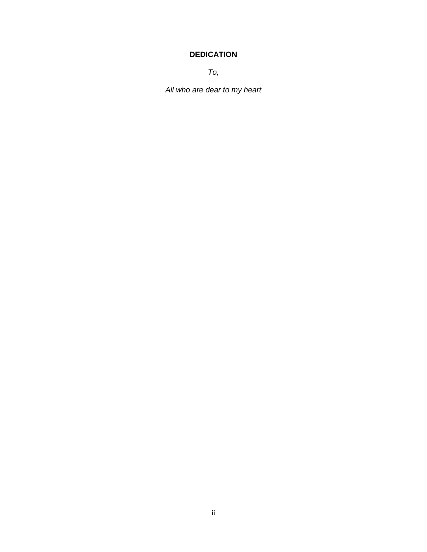# **DEDICATION**

To,

All who are dear to my heart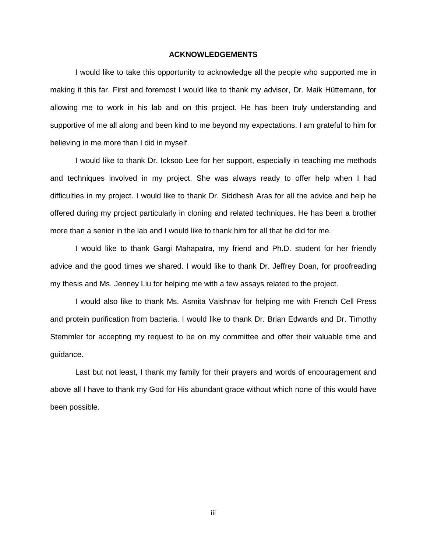### **ACKNOWLEDGEMENTS**

I would like to take this opportunity to acknowledge all the people who supported me in making it this far. First and foremost I would like to thank my advisor, Dr. Maik Hüttemann, for allowing me to work in his lab and on this project. He has been truly understanding and supportive of me all along and been kind to me beyond my expectations. I am grateful to him for believing in me more than I did in myself.

I would like to thank Dr. Icksoo Lee for her support, especially in teaching me methods and techniques involved in my project. She was always ready to offer help when I had difficulties in my project. I would like to thank Dr. Siddhesh Aras for all the advice and help he offered during my project particularly in cloning and related techniques. He has been a brother more than a senior in the lab and I would like to thank him for all that he did for me.

I would like to thank Gargi Mahapatra, my friend and Ph.D. student for her friendly advice and the good times we shared. I would like to thank Dr. Jeffrey Doan, for proofreading my thesis and Ms. Jenney Liu for helping me with a few assays related to the project.

I would also like to thank Ms. Asmita Vaishnav for helping me with French Cell Press and protein purification from bacteria. I would like to thank Dr. Brian Edwards and Dr. Timothy Stemmler for accepting my request to be on my committee and offer their valuable time and guidance.

Last but not least, I thank my family for their prayers and words of encouragement and above all I have to thank my God for His abundant grace without which none of this would have been possible.

iii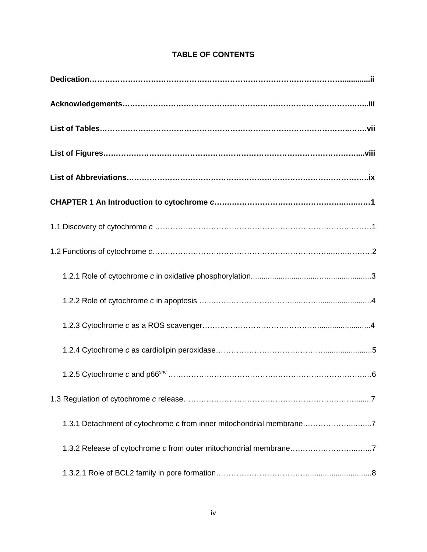| 1.3.1 Detachment of cytochrome c from inner mitochondrial membrane7 |
|---------------------------------------------------------------------|
| 1.3.2 Release of cytochrome c from outer mitochondrial membrane7    |
|                                                                     |

# **TABLE OF CONTENTS**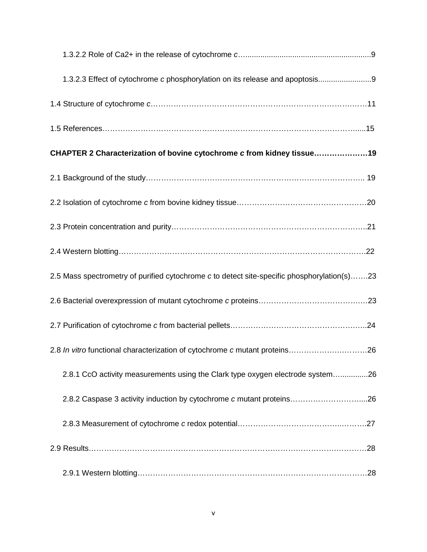| 1.3.2.3 Effect of cytochrome c phosphorylation on its release and apoptosis9                |
|---------------------------------------------------------------------------------------------|
|                                                                                             |
|                                                                                             |
| CHAPTER 2 Characterization of bovine cytochrome c from kidney tissue19                      |
|                                                                                             |
|                                                                                             |
|                                                                                             |
|                                                                                             |
| 2.5 Mass spectrometry of purified cytochrome c to detect site-specific phosphorylation(s)23 |
|                                                                                             |
|                                                                                             |
|                                                                                             |
| 2.8.1 CcO activity measurements using the Clark type oxygen electrode system26              |
|                                                                                             |
|                                                                                             |
|                                                                                             |
|                                                                                             |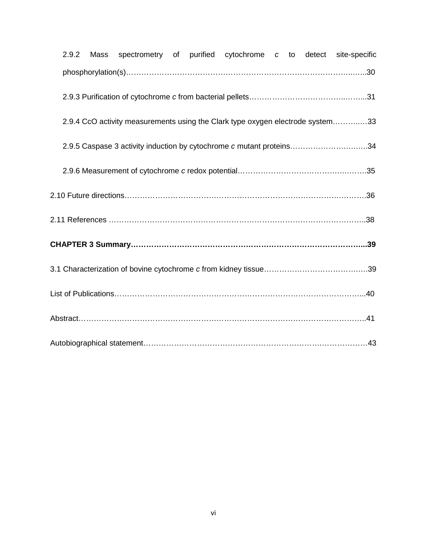| 2.9.2 |  |  | Mass spectrometry of purified cytochrome c to detect site-specific |  |                                                                                |
|-------|--|--|--------------------------------------------------------------------|--|--------------------------------------------------------------------------------|
|       |  |  |                                                                    |  |                                                                                |
|       |  |  |                                                                    |  |                                                                                |
|       |  |  |                                                                    |  | 2.9.4 CcO activity measurements using the Clark type oxygen electrode system33 |
|       |  |  |                                                                    |  | 2.9.5 Caspase 3 activity induction by cytochrome c mutant proteins34           |
|       |  |  |                                                                    |  |                                                                                |
|       |  |  |                                                                    |  |                                                                                |
|       |  |  |                                                                    |  |                                                                                |
|       |  |  |                                                                    |  |                                                                                |
|       |  |  |                                                                    |  |                                                                                |
|       |  |  |                                                                    |  |                                                                                |
|       |  |  |                                                                    |  |                                                                                |
|       |  |  |                                                                    |  |                                                                                |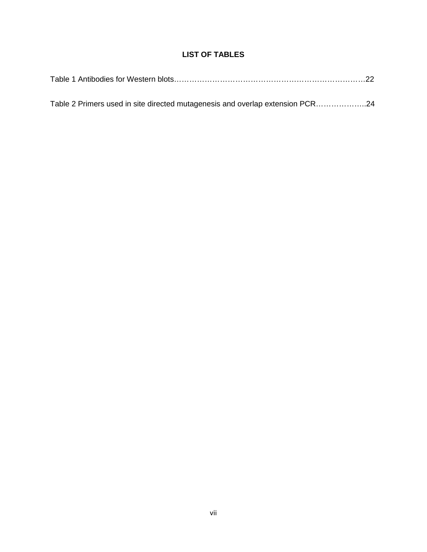# **LIST OF TABLES**

| Table 2 Primers used in site directed mutagenesis and overlap extension PCR24 |  |
|-------------------------------------------------------------------------------|--|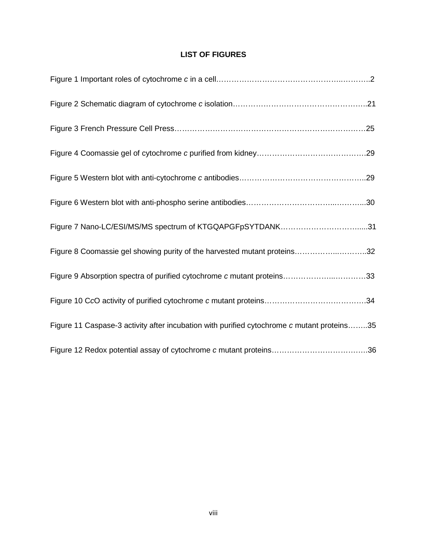# **LIST OF FIGURES**

| Figure 7 Nano-LC/ESI/MS/MS spectrum of KTGQAPGFpSYTDANK31                                  |
|--------------------------------------------------------------------------------------------|
| Figure 8 Coomassie gel showing purity of the harvested mutant proteins32                   |
| Figure 9 Absorption spectra of purified cytochrome c mutant proteins33                     |
|                                                                                            |
| Figure 11 Caspase-3 activity after incubation with purified cytochrome c mutant proteins35 |
|                                                                                            |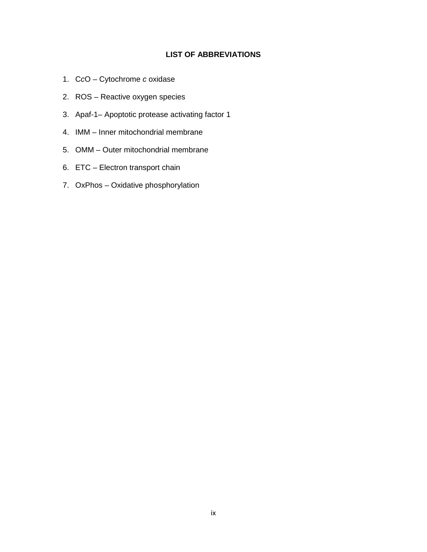# **LIST OF ABBREVIATIONS**

- 1. CcO Cytochrome c oxidase
- 2. ROS Reactive oxygen species
- 3. Apaf-1– Apoptotic protease activating factor 1
- 4. IMM Inner mitochondrial membrane
- 5. OMM Outer mitochondrial membrane
- 6. ETC Electron transport chain
- 7. OxPhos Oxidative phosphorylation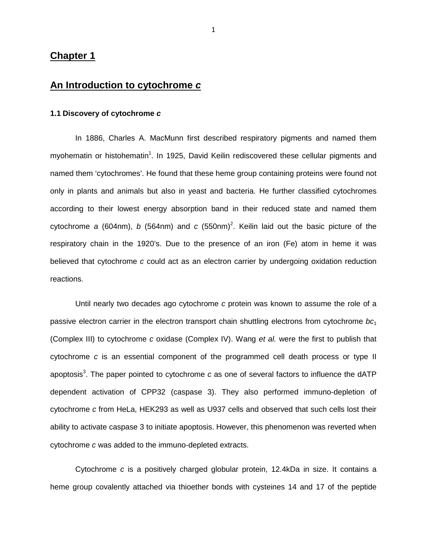# **Chapter 1**

# **An Introduction to cytochrome c**

## **1.1 Discovery of cytochrome c**

In 1886, Charles A. MacMunn first described respiratory pigments and named them myohematin or histohematin<sup>1</sup>. In 1925, David Keilin rediscovered these cellular pigments and named them 'cytochromes'. He found that these heme group containing proteins were found not only in plants and animals but also in yeast and bacteria. He further classified cytochromes according to their lowest energy absorption band in their reduced state and named them cytochrome a (604nm), b (564nm) and c (550nm)<sup>2</sup>. Keilin laid out the basic picture of the respiratory chain in the 1920's. Due to the presence of an iron (Fe) atom in heme it was believed that cytochrome c could act as an electron carrier by undergoing oxidation reduction reactions.

Until nearly two decades ago cytochrome c protein was known to assume the role of a passive electron carrier in the electron transport chain shuttling electrons from cytochrome  $bc<sub>1</sub>$ (Complex III) to cytochrome c oxidase (Complex IV). Wang et al. were the first to publish that cytochrome c is an essential component of the programmed cell death process or type II apoptosis<sup>3</sup>. The paper pointed to cytochrome c as one of several factors to influence the dATP dependent activation of CPP32 (caspase 3). They also performed immuno-depletion of cytochrome c from HeLa, HEK293 as well as U937 cells and observed that such cells lost their ability to activate caspase 3 to initiate apoptosis. However, this phenomenon was reverted when cytochrome c was added to the immuno-depleted extracts.

Cytochrome c is a positively charged globular protein, 12.4kDa in size. It contains a heme group covalently attached via thioether bonds with cysteines 14 and 17 of the peptide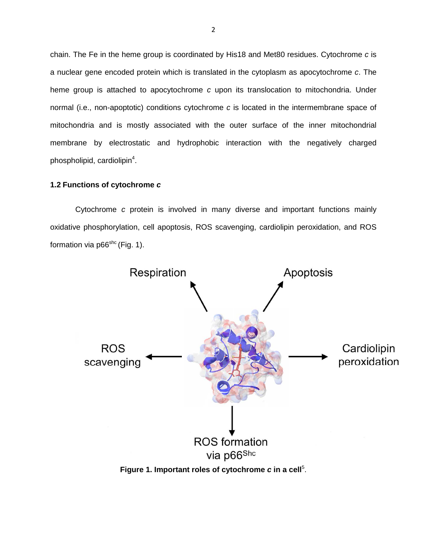chain. The Fe in the heme group is coordinated by His18 and Met80 residues. Cytochrome c is a nuclear gene encoded protein which is translated in the cytoplasm as apocytochrome c. The heme group is attached to apocytochrome  $c$  upon its translocation to mitochondria. Under normal (i.e., non-apoptotic) conditions cytochrome c is located in the intermembrane space of mitochondria and is mostly associated with the outer surface of the inner mitochondrial membrane by electrostatic and hydrophobic interaction with the negatively charged phospholipid, cardiolipin<sup>4</sup>.

# **1.2 Functions of cytochrome c**

Cytochrome c protein is involved in many diverse and important functions mainly oxidative phosphorylation, cell apoptosis, ROS scavenging, cardiolipin peroxidation, and ROS formation via  $p66^{\text{shc}}$  (Fig. 1).



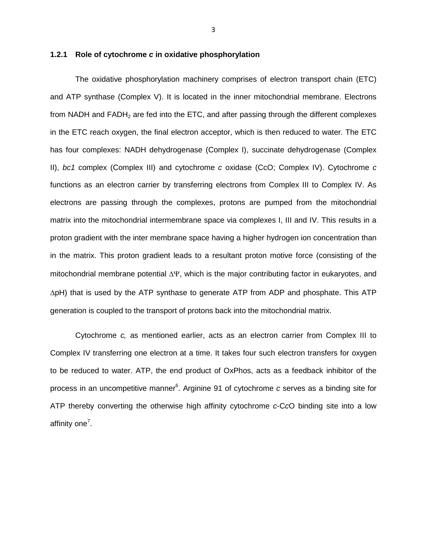## **1.2.1 Role of cytochrome c in oxidative phosphorylation**

The oxidative phosphorylation machinery comprises of electron transport chain (ETC) and ATP synthase (Complex V). It is located in the inner mitochondrial membrane. Electrons from NADH and  $FADH<sub>2</sub>$  are fed into the ETC, and after passing through the different complexes in the ETC reach oxygen, the final electron acceptor, which is then reduced to water. The ETC has four complexes: NADH dehydrogenase (Complex I), succinate dehydrogenase (Complex II),  $bc1$  complex (Complex III) and cytochrome c oxidase (CcO; Complex IV). Cytochrome c functions as an electron carrier by transferring electrons from Complex III to Complex IV. As electrons are passing through the complexes, protons are pumped from the mitochondrial matrix into the mitochondrial intermembrane space via complexes I, III and IV. This results in a proton gradient with the inter membrane space having a higher hydrogen ion concentration than in the matrix. This proton gradient leads to a resultant proton motive force (consisting of the mitochondrial membrane potential ∆Ψ, which is the major contributing factor in eukaryotes, and ∆pH) that is used by the ATP synthase to generate ATP from ADP and phosphate. This ATP generation is coupled to the transport of protons back into the mitochondrial matrix.

Cytochrome c, as mentioned earlier, acts as an electron carrier from Complex III to Complex IV transferring one electron at a time. It takes four such electron transfers for oxygen to be reduced to water. ATP, the end product of OxPhos, acts as a feedback inhibitor of the process in an uncompetitive manner<sup>6</sup>. Arginine 91 of cytochrome c serves as a binding site for ATP thereby converting the otherwise high affinity cytochrome c-CcO binding site into a low affinity one<sup>7</sup>.

3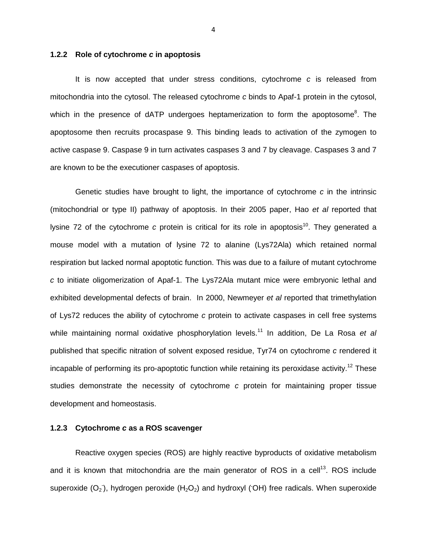### **1.2.2 Role of cytochrome c in apoptosis**

It is now accepted that under stress conditions, cytochrome  $c$  is released from mitochondria into the cytosol. The released cytochrome c binds to Apaf-1 protein in the cytosol, which in the presence of dATP undergoes heptamerization to form the apoptosome<sup>8</sup>. The apoptosome then recruits procaspase 9. This binding leads to activation of the zymogen to active caspase 9. Caspase 9 in turn activates caspases 3 and 7 by cleavage. Caspases 3 and 7 are known to be the executioner caspases of apoptosis.

Genetic studies have brought to light, the importance of cytochrome c in the intrinsic (mitochondrial or type II) pathway of apoptosis. In their 2005 paper, Hao et al reported that Ivsine 72 of the cytochrome c protein is critical for its role in apoptosis<sup>10</sup>. They generated a mouse model with a mutation of lysine 72 to alanine (Lys72Ala) which retained normal respiration but lacked normal apoptotic function. This was due to a failure of mutant cytochrome c to initiate oligomerization of Apaf-1. The Lys72Ala mutant mice were embryonic lethal and exhibited developmental defects of brain. In 2000, Newmeyer et al reported that trimethylation of Lys72 reduces the ability of cytochrome c protein to activate caspases in cell free systems while maintaining normal oxidative phosphorylation levels.<sup>11</sup> In addition, De La Rosa et al published that specific nitration of solvent exposed residue, Tyr74 on cytochrome c rendered it incapable of performing its pro-apoptotic function while retaining its peroxidase activity.<sup>12</sup> These studies demonstrate the necessity of cytochrome c protein for maintaining proper tissue development and homeostasis.

### **1.2.3 Cytochrome c as a ROS scavenger**

Reactive oxygen species (ROS) are highly reactive byproducts of oxidative metabolism and it is known that mitochondria are the main generator of ROS in a cell<sup>13</sup>. ROS include superoxide (O<sub>2</sub>), hydrogen peroxide (H<sub>2</sub>O<sub>2</sub>) and hydroxyl (OH) free radicals. When superoxide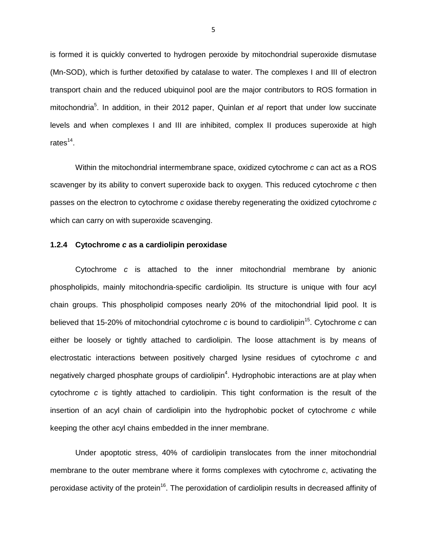is formed it is quickly converted to hydrogen peroxide by mitochondrial superoxide dismutase (Mn-SOD), which is further detoxified by catalase to water. The complexes I and III of electron transport chain and the reduced ubiquinol pool are the major contributors to ROS formation in mitochondria<sup>5</sup>. In addition, in their 2012 paper, Quinlan et al report that under low succinate levels and when complexes I and III are inhibited, complex II produces superoxide at high rates $^{14}$ .

Within the mitochondrial intermembrane space, oxidized cytochrome c can act as a ROS scavenger by its ability to convert superoxide back to oxygen. This reduced cytochrome c then passes on the electron to cytochrome c oxidase thereby regenerating the oxidized cytochrome c which can carry on with superoxide scavenging.

## **1.2.4 Cytochrome c as a cardiolipin peroxidase**

Cytochrome c is attached to the inner mitochondrial membrane by anionic phospholipids, mainly mitochondria-specific cardiolipin. Its structure is unique with four acyl chain groups. This phospholipid composes nearly 20% of the mitochondrial lipid pool. It is believed that 15-20% of mitochondrial cytochrome c is bound to cardiolipin<sup>15</sup>. Cytochrome c can either be loosely or tightly attached to cardiolipin. The loose attachment is by means of electrostatic interactions between positively charged lysine residues of cytochrome c and negatively charged phosphate groups of cardiolipin<sup>4</sup>. Hydrophobic interactions are at play when cytochrome  $c$  is tightly attached to cardiolipin. This tight conformation is the result of the insertion of an acyl chain of cardiolipin into the hydrophobic pocket of cytochrome c while keeping the other acyl chains embedded in the inner membrane.

Under apoptotic stress, 40% of cardiolipin translocates from the inner mitochondrial membrane to the outer membrane where it forms complexes with cytochrome c, activating the peroxidase activity of the protein<sup>16</sup>. The peroxidation of cardiolipin results in decreased affinity of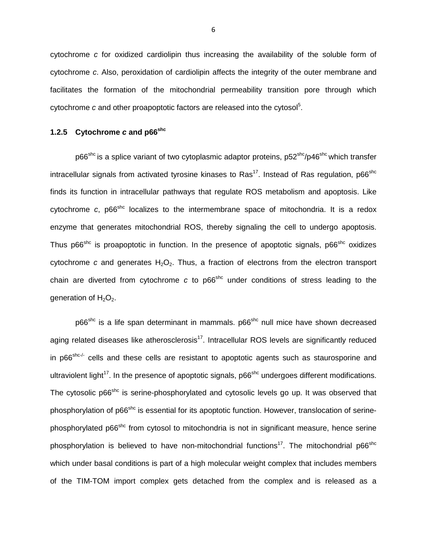cytochrome c for oxidized cardiolipin thus increasing the availability of the soluble form of cytochrome c. Also, peroxidation of cardiolipin affects the integrity of the outer membrane and facilitates the formation of the mitochondrial permeability transition pore through which cytochrome  $c$  and other proapoptotic factors are released into the cytosol<sup>5</sup>.

# **1.2.5 Cytochrome c and p66shc**

 $p66<sup>shc</sup>$  is a splice variant of two cytoplasmic adaptor proteins,  $p52<sup>shc</sup>/p46<sup>shc</sup>$  which transfer intracellular signals from activated tyrosine kinases to Ras<sup>17</sup>. Instead of Ras regulation, p66<sup>shc</sup> finds its function in intracellular pathways that regulate ROS metabolism and apoptosis. Like cytochrome  $c$ , p66<sup>shc</sup> localizes to the intermembrane space of mitochondria. It is a redox enzyme that generates mitochondrial ROS, thereby signaling the cell to undergo apoptosis. Thus p66<sup>shc</sup> is proapoptotic in function. In the presence of apoptotic signals, p66<sup>shc</sup> oxidizes cytochrome c and generates  $H_2O_2$ . Thus, a fraction of electrons from the electron transport chain are diverted from cytochrome c to  $p66<sup>shc</sup>$  under conditions of stress leading to the generation of  $H_2O_2$ .

p66<sup>shc</sup> is a life span determinant in mammals. p66<sup>shc</sup> null mice have shown decreased aging related diseases like atherosclerosis<sup>17</sup>. Intracellular ROS levels are significantly reduced in p66<sup>shc-/-</sup> cells and these cells are resistant to apoptotic agents such as staurosporine and ultraviolent light<sup>17</sup>. In the presence of apoptotic signals,  $p66<sup>shc</sup>$  undergoes different modifications. The cytosolic p66<sup>shc</sup> is serine-phosphorylated and cytosolic levels go up. It was observed that phosphorylation of p66<sup>shc</sup> is essential for its apoptotic function. However, translocation of serinephosphorylated p66<sup>shc</sup> from cytosol to mitochondria is not in significant measure, hence serine phosphorylation is believed to have non-mitochondrial functions<sup>17</sup>. The mitochondrial p66<sup>shc</sup> which under basal conditions is part of a high molecular weight complex that includes members of the TIM-TOM import complex gets detached from the complex and is released as a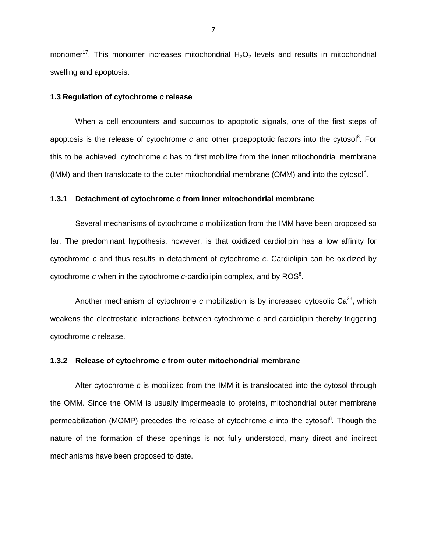monomer<sup>17</sup>. This monomer increases mitochondrial  $H_2O_2$  levels and results in mitochondrial swelling and apoptosis.

## **1.3 Regulation of cytochrome c release**

When a cell encounters and succumbs to apoptotic signals, one of the first steps of apoptosis is the release of cytochrome  $c$  and other proapoptotic factors into the cytosol<sup>8</sup>. For this to be achieved, cytochrome c has to first mobilize from the inner mitochondrial membrane (IMM) and then translocate to the outer mitochondrial membrane (OMM) and into the cytosol<sup>8</sup>.

### **1.3.1 Detachment of cytochrome c from inner mitochondrial membrane**

Several mechanisms of cytochrome c mobilization from the IMM have been proposed so far. The predominant hypothesis, however, is that oxidized cardiolipin has a low affinity for cytochrome c and thus results in detachment of cytochrome c. Cardiolipin can be oxidized by cytochrome  $c$  when in the cytochrome  $c$ -cardiolipin complex, and by ROS<sup>8</sup>.

Another mechanism of cytochrome c mobilization is by increased cytosolic  $Ca^{2+}$ , which weakens the electrostatic interactions between cytochrome c and cardiolipin thereby triggering cytochrome c release.

### **1.3.2 Release of cytochrome c from outer mitochondrial membrane**

After cytochrome c is mobilized from the IMM it is translocated into the cytosol through the OMM. Since the OMM is usually impermeable to proteins, mitochondrial outer membrane permeabilization (MOMP) precedes the release of cytochrome c into the cytosol<sup>8</sup>. Though the nature of the formation of these openings is not fully understood, many direct and indirect mechanisms have been proposed to date.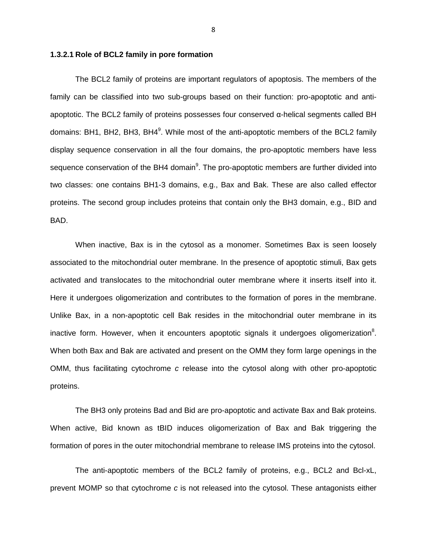#### **1.3.2.1 Role of BCL2 family in pore formation**

The BCL2 family of proteins are important regulators of apoptosis. The members of the family can be classified into two sub-groups based on their function: pro-apoptotic and antiapoptotic. The BCL2 family of proteins possesses four conserved α-helical segments called BH domains: BH1, BH2, BH3, BH4<sup>9</sup>. While most of the anti-apoptotic members of the BCL2 family display sequence conservation in all the four domains, the pro-apoptotic members have less sequence conservation of the BH4 domain<sup>9</sup>. The pro-apoptotic members are further divided into two classes: one contains BH1-3 domains, e.g., Bax and Bak. These are also called effector proteins. The second group includes proteins that contain only the BH3 domain, e.g., BID and BAD.

When inactive, Bax is in the cytosol as a monomer. Sometimes Bax is seen loosely associated to the mitochondrial outer membrane. In the presence of apoptotic stimuli, Bax gets activated and translocates to the mitochondrial outer membrane where it inserts itself into it. Here it undergoes oligomerization and contributes to the formation of pores in the membrane. Unlike Bax, in a non-apoptotic cell Bak resides in the mitochondrial outer membrane in its inactive form. However, when it encounters apoptotic signals it undergoes oligomerization<sup>8</sup>. When both Bax and Bak are activated and present on the OMM they form large openings in the OMM, thus facilitating cytochrome c release into the cytosol along with other pro-apoptotic proteins.

The BH3 only proteins Bad and Bid are pro-apoptotic and activate Bax and Bak proteins. When active, Bid known as tBID induces oligomerization of Bax and Bak triggering the formation of pores in the outer mitochondrial membrane to release IMS proteins into the cytosol.

The anti-apoptotic members of the BCL2 family of proteins, e.g., BCL2 and Bcl-xL, prevent MOMP so that cytochrome  $c$  is not released into the cytosol. These antagonists either

8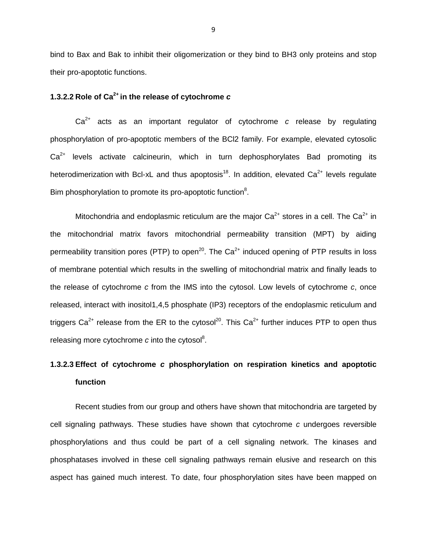bind to Bax and Bak to inhibit their oligomerization or they bind to BH3 only proteins and stop their pro-apoptotic functions.

# **1.3.2.2 Role of Ca2+ in the release of cytochrome c**

 $Ca<sup>2+</sup>$  acts as an important regulator of cytochrome c release by regulating phosphorylation of pro-apoptotic members of the BCl2 family. For example, elevated cytosolic  $Ca<sup>2+</sup>$  levels activate calcineurin, which in turn dephosphorylates Bad promoting its heterodimerization with Bcl-xL and thus apoptosis<sup>18</sup>. In addition, elevated  $Ca^{2+}$  levels regulate Bim phosphorylation to promote its pro-apoptotic function<sup>8</sup>.

Mitochondria and endoplasmic reticulum are the major  $Ca^{2+}$  stores in a cell. The  $Ca^{2+}$  in the mitochondrial matrix favors mitochondrial permeability transition (MPT) by aiding permeability transition pores (PTP) to open<sup>20</sup>. The  $Ca^{2+}$  induced opening of PTP results in loss of membrane potential which results in the swelling of mitochondrial matrix and finally leads to the release of cytochrome c from the IMS into the cytosol. Low levels of cytochrome c, once released, interact with inositol1,4,5 phosphate (IP3) receptors of the endoplasmic reticulum and triggers  $Ca^{2+}$  release from the ER to the cytosol<sup>20</sup>. This  $Ca^{2+}$  further induces PTP to open thus releasing more cytochrome  $c$  into the cytosol<sup>8</sup>.

# **1.3.2.3 Effect of cytochrome c phosphorylation on respiration kinetics and apoptotic function**

Recent studies from our group and others have shown that mitochondria are targeted by cell signaling pathways. These studies have shown that cytochrome c undergoes reversible phosphorylations and thus could be part of a cell signaling network. The kinases and phosphatases involved in these cell signaling pathways remain elusive and research on this aspect has gained much interest. To date, four phosphorylation sites have been mapped on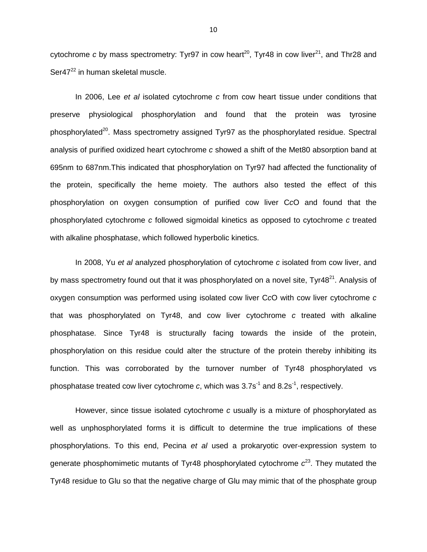cytochrome c by mass spectrometry: Tyr97 in cow heart<sup>20</sup>, Tyr48 in cow liver<sup>21</sup>, and Thr28 and Ser47<sup>22</sup> in human skeletal muscle.

In 2006, Lee et al isolated cytochrome c from cow heart tissue under conditions that preserve physiological phosphorylation and found that the protein was tyrosine phosphorylated<sup>20</sup>. Mass spectrometry assigned Tyr97 as the phosphorylated residue. Spectral analysis of purified oxidized heart cytochrome c showed a shift of the Met80 absorption band at 695nm to 687nm.This indicated that phosphorylation on Tyr97 had affected the functionality of the protein, specifically the heme moiety. The authors also tested the effect of this phosphorylation on oxygen consumption of purified cow liver CcO and found that the phosphorylated cytochrome c followed sigmoidal kinetics as opposed to cytochrome c treated with alkaline phosphatase, which followed hyperbolic kinetics.

In 2008, Yu et al analyzed phosphorylation of cytochrome c isolated from cow liver, and by mass spectrometry found out that it was phosphorylated on a novel site,  $Tyr48<sup>21</sup>$ . Analysis of oxygen consumption was performed using isolated cow liver CcO with cow liver cytochrome c that was phosphorylated on Tyr48, and cow liver cytochrome c treated with alkaline phosphatase. Since Tyr48 is structurally facing towards the inside of the protein, phosphorylation on this residue could alter the structure of the protein thereby inhibiting its function. This was corroborated by the turnover number of Tyr48 phosphorylated vs phosphatase treated cow liver cytochrome c, which was  $3.7s^{-1}$  and  $8.2s^{-1}$ , respectively.

However, since tissue isolated cytochrome c usually is a mixture of phosphorylated as well as unphosphorylated forms it is difficult to determine the true implications of these phosphorylations. To this end, Pecina et al used a prokaryotic over-expression system to generate phosphomimetic mutants of Tyr48 phosphorylated cytochrome  $c^{23}$ . They mutated the Tyr48 residue to Glu so that the negative charge of Glu may mimic that of the phosphate group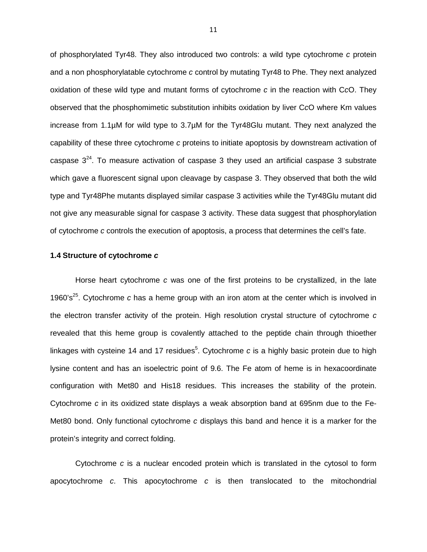of phosphorylated Tyr48. They also introduced two controls: a wild type cytochrome c protein and a non phosphorylatable cytochrome c control by mutating Tyr48 to Phe. They next analyzed oxidation of these wild type and mutant forms of cytochrome  $c$  in the reaction with CcO. They observed that the phosphomimetic substitution inhibits oxidation by liver CcO where Km values increase from 1.1µM for wild type to 3.7µM for the Tyr48Glu mutant. They next analyzed the capability of these three cytochrome c proteins to initiate apoptosis by downstream activation of caspase  $3^{24}$ . To measure activation of caspase 3 they used an artificial caspase 3 substrate which gave a fluorescent signal upon cleavage by caspase 3. They observed that both the wild type and Tyr48Phe mutants displayed similar caspase 3 activities while the Tyr48Glu mutant did not give any measurable signal for caspase 3 activity. These data suggest that phosphorylation of cytochrome c controls the execution of apoptosis, a process that determines the cell's fate.

#### **1.4 Structure of cytochrome c**

Horse heart cytochrome c was one of the first proteins to be crystallized, in the late 1960's<sup>25</sup>. Cytochrome c has a heme group with an iron atom at the center which is involved in the electron transfer activity of the protein. High resolution crystal structure of cytochrome c revealed that this heme group is covalently attached to the peptide chain through thioether linkages with cysteine 14 and 17 residues<sup>5</sup>. Cytochrome c is a highly basic protein due to high lysine content and has an isoelectric point of 9.6. The Fe atom of heme is in hexacoordinate configuration with Met80 and His18 residues. This increases the stability of the protein. Cytochrome c in its oxidized state displays a weak absorption band at 695nm due to the Fe-Met80 bond. Only functional cytochrome c displays this band and hence it is a marker for the protein's integrity and correct folding.

Cytochrome c is a nuclear encoded protein which is translated in the cytosol to form apocytochrome c. This apocytochrome c is then translocated to the mitochondrial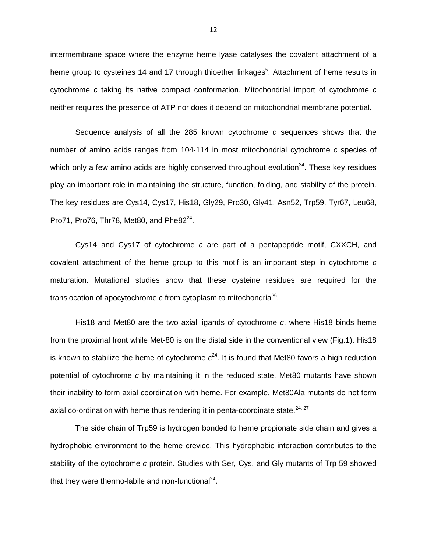intermembrane space where the enzyme heme lyase catalyses the covalent attachment of a heme group to cysteines 14 and 17 through thioether linkages<sup>5</sup>. Attachment of heme results in cytochrome  $c$  taking its native compact conformation. Mitochondrial import of cytochrome  $c$ neither requires the presence of ATP nor does it depend on mitochondrial membrane potential.

Sequence analysis of all the 285 known cytochrome c sequences shows that the number of amino acids ranges from 104-114 in most mitochondrial cytochrome c species of which only a few amino acids are highly conserved throughout evolution<sup>24</sup>. These key residues play an important role in maintaining the structure, function, folding, and stability of the protein. The key residues are Cys14, Cys17, His18, Gly29, Pro30, Gly41, Asn52, Trp59, Tyr67, Leu68, Pro71, Pro76, Thr78, Met80, and Phe8 $2^{24}$ .

Cys14 and Cys17 of cytochrome c are part of a pentapeptide motif, CXXCH, and covalent attachment of the heme group to this motif is an important step in cytochrome  $c$ maturation. Mutational studies show that these cysteine residues are required for the translocation of apocytochrome c from cytoplasm to mitochondria $^{26}$ .

His18 and Met80 are the two axial ligands of cytochrome  $c$ , where His18 binds heme from the proximal front while Met-80 is on the distal side in the conventional view (Fig.1). His18 is known to stabilize the heme of cytochrome  $c^{24}$ . It is found that Met80 favors a high reduction potential of cytochrome c by maintaining it in the reduced state. Met80 mutants have shown their inability to form axial coordination with heme. For example, Met80Ala mutants do not form axial co-ordination with heme thus rendering it in penta-coordinate state. $24, 27$ 

The side chain of Trp59 is hydrogen bonded to heme propionate side chain and gives a hydrophobic environment to the heme crevice. This hydrophobic interaction contributes to the stability of the cytochrome c protein. Studies with Ser, Cys, and Gly mutants of Trp 59 showed that they were thermo-labile and non-functional $^{24}$ .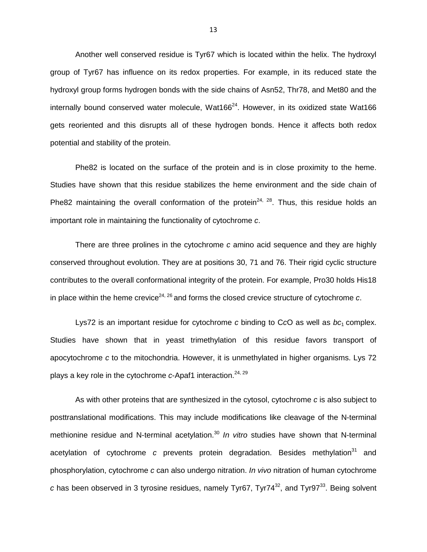Another well conserved residue is Tyr67 which is located within the helix. The hydroxyl group of Tyr67 has influence on its redox properties. For example, in its reduced state the hydroxyl group forms hydrogen bonds with the side chains of Asn52, Thr78, and Met80 and the internally bound conserved water molecule, Wat166 $^{24}$ . However, in its oxidized state Wat166 gets reoriented and this disrupts all of these hydrogen bonds. Hence it affects both redox potential and stability of the protein.

Phe82 is located on the surface of the protein and is in close proximity to the heme. Studies have shown that this residue stabilizes the heme environment and the side chain of Phe82 maintaining the overall conformation of the protein<sup>24, 28</sup>. Thus, this residue holds an important role in maintaining the functionality of cytochrome c.

There are three prolines in the cytochrome c amino acid sequence and they are highly conserved throughout evolution. They are at positions 30, 71 and 76. Their rigid cyclic structure contributes to the overall conformational integrity of the protein. For example, Pro30 holds His18 in place within the heme crevice<sup>24, 26</sup> and forms the closed crevice structure of cytochrome c.

Lys72 is an important residue for cytochrome c binding to CcO as well as  $bc_1$  complex. Studies have shown that in yeast trimethylation of this residue favors transport of apocytochrome c to the mitochondria. However, it is unmethylated in higher organisms. Lys 72 plays a key role in the cytochrome  $c$ -Apaf1 interaction.<sup>24, 29</sup>

As with other proteins that are synthesized in the cytosol, cytochrome c is also subject to posttranslational modifications. This may include modifications like cleavage of the N-terminal methionine residue and N-terminal acetylation.<sup>30</sup> In vitro studies have shown that N-terminal acetylation of cytochrome c prevents protein degradation. Besides methylation<sup>31</sup> and phosphorylation, cytochrome c can also undergo nitration. In vivo nitration of human cytochrome c has been observed in 3 tyrosine residues, namely Tyr67, Tyr74 $^{32}$ , and Tyr97 $^{33}$ . Being solvent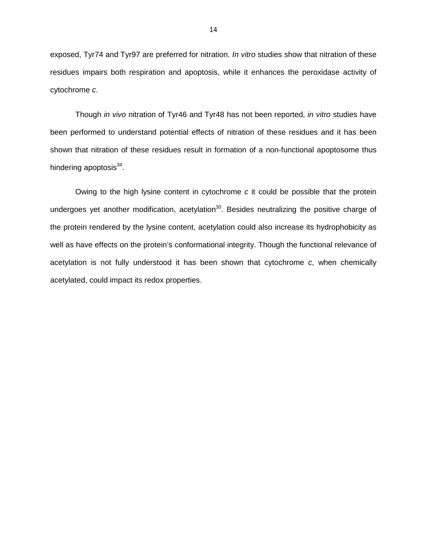exposed, Tyr74 and Tyr97 are preferred for nitration. In vitro studies show that nitration of these residues impairs both respiration and apoptosis, while it enhances the peroxidase activity of cytochrome c.

Though in vivo nitration of Tyr46 and Tyr48 has not been reported, in vitro studies have been performed to understand potential effects of nitration of these residues and it has been shown that nitration of these residues result in formation of a non-functional apoptosome thus hindering apoptosis<sup>34</sup>.

Owing to the high lysine content in cytochrome c it could be possible that the protein undergoes yet another modification, acetylation<sup>30</sup>. Besides neutralizing the positive charge of the protein rendered by the lysine content, acetylation could also increase its hydrophobicity as well as have effects on the protein's conformational integrity. Though the functional relevance of acetylation is not fully understood it has been shown that cytochrome c, when chemically acetylated, could impact its redox properties.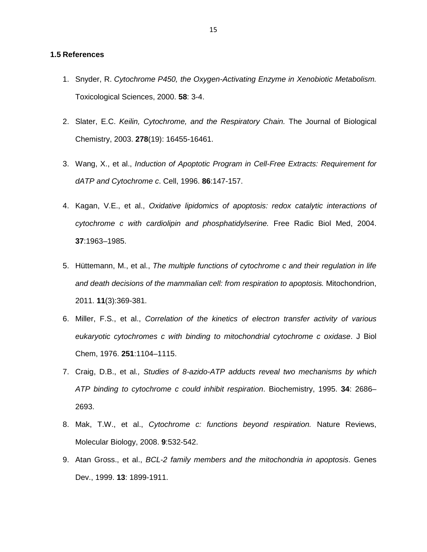## **1.5 References**

- 1. Snyder, R. Cytochrome P450, the Oxygen-Activating Enzyme in Xenobiotic Metabolism. Toxicological Sciences, 2000. **58**: 3-4.
- 2. Slater, E.C. Keilin, Cytochrome, and the Respiratory Chain. The Journal of Biological Chemistry, 2003. **278**(19): 16455-16461.
- 3. Wang, X., et al., Induction of Apoptotic Program in Cell-Free Extracts: Requirement for dATP and Cytochrome c. Cell, 1996. **86**:147-157.
- 4. Kagan, V.E., et al., Oxidative lipidomics of apoptosis: redox catalytic interactions of cytochrome c with cardiolipin and phosphatidylserine. Free Radic Biol Med, 2004. **37**:1963–1985.
- 5. Hüttemann, M., et al., The multiple functions of cytochrome c and their regulation in life and death decisions of the mammalian cell: from respiration to apoptosis. Mitochondrion, 2011. **11**(3):369-381.
- 6. Miller, F.S., et al., Correlation of the kinetics of electron transfer activity of various eukaryotic cytochromes c with binding to mitochondrial cytochrome c oxidase. J Biol Chem, 1976. **251**:1104–1115.
- 7. Craig, D.B., et al., Studies of 8-azido-ATP adducts reveal two mechanisms by which ATP binding to cytochrome c could inhibit respiration. Biochemistry, 1995. **34**: 2686– 2693.
- 8. Mak, T.W., et al., Cytochrome c: functions beyond respiration. Nature Reviews, Molecular Biology, 2008. **9**:532-542.
- 9. Atan Gross., et al., BCL-2 family members and the mitochondria in apoptosis. Genes Dev., 1999. **13**: 1899-1911.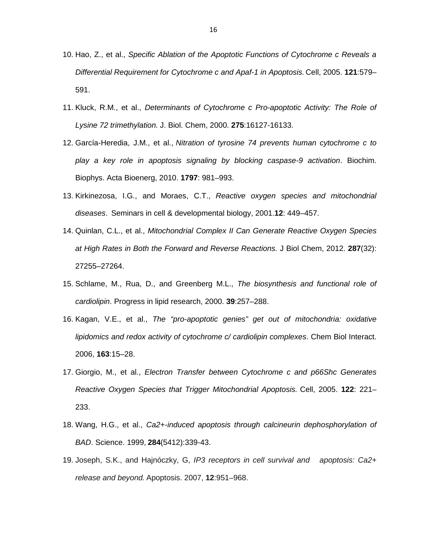- 10. Hao, Z., et al., Specific Ablation of the Apoptotic Functions of Cytochrome c Reveals a Differential Requirement for Cytochrome c and Apaf-1 in Apoptosis. Cell, 2005. **121**:579– 591.
- 11. Kluck, R.M., et al., Determinants of Cytochrome c Pro-apoptotic Activity: The Role of Lysine 72 trimethylation. J. Biol. Chem, 2000. **275**:16127-16133.
- 12. García-Heredia, J.M., et al., Nitration of tyrosine 74 prevents human cytochrome c to play a key role in apoptosis signaling by blocking caspase-9 activation. Biochim. Biophys. Acta Bioenerg, 2010. **1797**: 981–993.
- 13. Kirkinezosa, I.G., and Moraes, C.T., Reactive oxygen species and mitochondrial diseases. Seminars in cell & developmental biology, 2001.**12**: 449–457.
- 14. Quinlan, C.L., et al., Mitochondrial Complex II Can Generate Reactive Oxygen Species at High Rates in Both the Forward and Reverse Reactions. J Biol Chem, 2012. **287**(32): 27255–27264.
- 15. Schlame, M., Rua, D., and Greenberg M.L., The biosynthesis and functional role of cardiolipin. Progress in lipid research, 2000. **39**:257–288.
- 16. Kagan, V.E., et al., The "pro-apoptotic genies" get out of mitochondria: oxidative lipidomics and redox activity of cytochrome c/ cardiolipin complexes. Chem Biol Interact. 2006, **163**:15–28.
- 17. Giorgio, M., et al., Electron Transfer between Cytochrome c and p66Shc Generates Reactive Oxygen Species that Trigger Mitochondrial Apoptosis. Cell, 2005. **122**: 221– 233.
- 18. Wang, H.G., et al., Ca2+-induced apoptosis through calcineurin dephosphorylation of BAD. Science. 1999, **284**(5412):339-43.
- 19. Joseph, S.K., and Hajnóczky, G, IP3 receptors in cell survival and apoptosis: Ca2+ release and beyond. Apoptosis. 2007, **12**:951–968.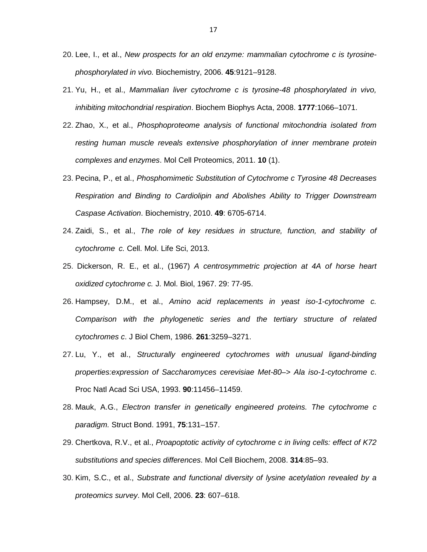- 20. Lee, I., et al., New prospects for an old enzyme: mammalian cytochrome c is tyrosinephosphorylated in vivo. Biochemistry, 2006. **45**:9121–9128.
- 21. Yu, H., et al., Mammalian liver cytochrome c is tyrosine-48 phosphorylated in vivo, inhibiting mitochondrial respiration. Biochem Biophys Acta, 2008. **1777**:1066–1071.
- 22. Zhao, X., et al., Phosphoproteome analysis of functional mitochondria isolated from resting human muscle reveals extensive phosphorylation of inner membrane protein complexes and enzymes. Mol Cell Proteomics, 2011. **10** (1).
- 23. Pecina, P., et al., Phosphomimetic Substitution of Cytochrome c Tyrosine 48 Decreases Respiration and Binding to Cardiolipin and Abolishes Ability to Trigger Downstream Caspase Activation. Biochemistry, 2010. **49**: 6705-6714.
- 24. Zaidi, S., et al., The role of key residues in structure, function, and stability of cytochrome c. Cell. Mol. Life Sci, 2013.
- 25. Dickerson, R. E., et al., (1967) A centrosymmetric projection at 4A of horse heart oxidized cytochrome c. J. Mol. Biol, 1967. 29: 77-95.
- 26. Hampsey, D.M., et al., Amino acid replacements in yeast iso-1-cytochrome c. Comparison with the phylogenetic series and the tertiary structure of related cytochromes c. J Biol Chem, 1986. **261**:3259–3271.
- 27. Lu, Y., et al., Structurally engineered cytochromes with unusual ligand-binding properties:expression of Saccharomyces cerevisiae Met-80–> Ala iso-1-cytochrome c. Proc Natl Acad Sci USA, 1993. **90**:11456–11459.
- 28. Mauk, A.G., Electron transfer in genetically engineered proteins. The cytochrome c paradigm. Struct Bond. 1991, **75**:131–157.
- 29. Chertkova, R.V., et al., Proapoptotic activity of cytochrome c in living cells: effect of K72 substitutions and species differences. Mol Cell Biochem, 2008. **314**:85–93.
- 30. Kim, S.C., et al., Substrate and functional diversity of lysine acetylation revealed by a proteomics survey. Mol Cell, 2006. **23**: 607–618.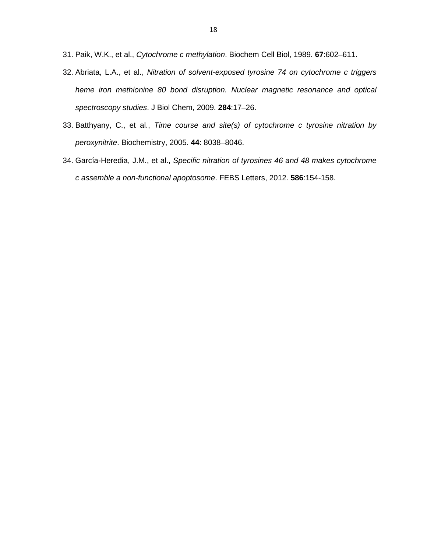- 31. Paik, W.K., et al., Cytochrome c methylation. Biochem Cell Biol, 1989. **67**:602–611.
- 32. Abriata, L.A., et al., Nitration of solvent-exposed tyrosine 74 on cytochrome c triggers heme iron methionine 80 bond disruption. Nuclear magnetic resonance and optical spectroscopy studies. J Biol Chem, 2009. **284**:17–26.
- 33. Batthyany, C., et al., Time course and site(s) of cytochrome c tyrosine nitration by peroxynitrite. Biochemistry, 2005. **44**: 8038–8046.
- 34. García-Heredia, J.M., et al., Specific nitration of tyrosines 46 and 48 makes cytochrome c assemble a non-functional apoptosome. FEBS Letters, 2012. **586**:154-158.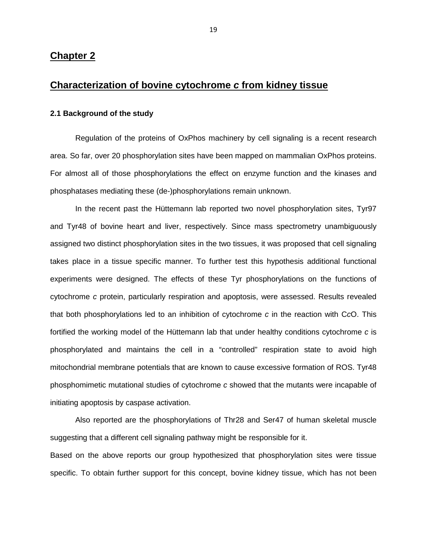# **Chapter 2**

# **Characterization of bovine cytochrome c from kidney tissue**

## **2.1 Background of the study**

Regulation of the proteins of OxPhos machinery by cell signaling is a recent research area. So far, over 20 phosphorylation sites have been mapped on mammalian OxPhos proteins. For almost all of those phosphorylations the effect on enzyme function and the kinases and phosphatases mediating these (de-)phosphorylations remain unknown.

In the recent past the Hüttemann lab reported two novel phosphorylation sites, Tyr97 and Tyr48 of bovine heart and liver, respectively. Since mass spectrometry unambiguously assigned two distinct phosphorylation sites in the two tissues, it was proposed that cell signaling takes place in a tissue specific manner. To further test this hypothesis additional functional experiments were designed. The effects of these Tyr phosphorylations on the functions of cytochrome c protein, particularly respiration and apoptosis, were assessed. Results revealed that both phosphorylations led to an inhibition of cytochrome  $c$  in the reaction with CcO. This fortified the working model of the Hüttemann lab that under healthy conditions cytochrome c is phosphorylated and maintains the cell in a "controlled" respiration state to avoid high mitochondrial membrane potentials that are known to cause excessive formation of ROS. Tyr48 phosphomimetic mutational studies of cytochrome c showed that the mutants were incapable of initiating apoptosis by caspase activation.

Also reported are the phosphorylations of Thr28 and Ser47 of human skeletal muscle suggesting that a different cell signaling pathway might be responsible for it.

Based on the above reports our group hypothesized that phosphorylation sites were tissue specific. To obtain further support for this concept, bovine kidney tissue, which has not been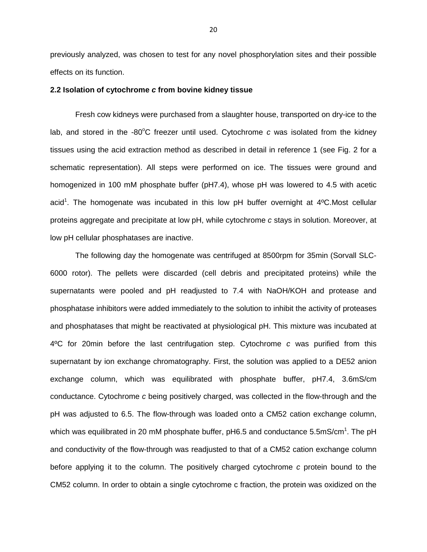previously analyzed, was chosen to test for any novel phosphorylation sites and their possible effects on its function.

### **2.2 Isolation of cytochrome c from bovine kidney tissue**

Fresh cow kidneys were purchased from a slaughter house, transported on dry-ice to the lab, and stored in the  $-80^{\circ}$ C freezer until used. Cytochrome c was isolated from the kidney tissues using the acid extraction method as described in detail in reference 1 (see Fig. 2 for a schematic representation). All steps were performed on ice. The tissues were ground and homogenized in 100 mM phosphate buffer (pH7.4), whose pH was lowered to 4.5 with acetic acid<sup>1</sup>. The homogenate was incubated in this low pH buffer overnight at  $4^{\circ}$ C.Most cellular proteins aggregate and precipitate at low pH, while cytochrome c stays in solution. Moreover, at low pH cellular phosphatases are inactive.

The following day the homogenate was centrifuged at 8500rpm for 35min (Sorvall SLC-6000 rotor). The pellets were discarded (cell debris and precipitated proteins) while the supernatants were pooled and pH readjusted to 7.4 with NaOH/KOH and protease and phosphatase inhibitors were added immediately to the solution to inhibit the activity of proteases and phosphatases that might be reactivated at physiological pH. This mixture was incubated at 4ºC for 20min before the last centrifugation step. Cytochrome c was purified from this supernatant by ion exchange chromatography. First, the solution was applied to a DE52 anion exchange column, which was equilibrated with phosphate buffer, pH7.4, 3.6mS/cm conductance. Cytochrome c being positively charged, was collected in the flow-through and the pH was adjusted to 6.5. The flow-through was loaded onto a CM52 cation exchange column, which was equilibrated in 20 mM phosphate buffer, pH6.5 and conductance 5.5mS/cm<sup>1</sup>. The pH and conductivity of the flow-through was readjusted to that of a CM52 cation exchange column before applying it to the column. The positively charged cytochrome c protein bound to the CM52 column. In order to obtain a single cytochrome c fraction, the protein was oxidized on the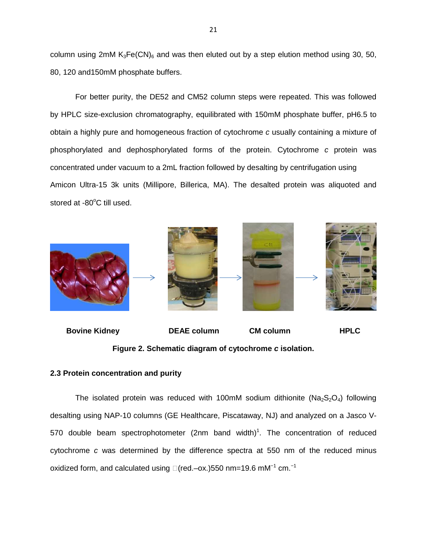column using 2mM  $K_3Fe(CN)_6$  and was then eluted out by a step elution method using 30, 50, 80, 120 and150mM phosphate buffers.

For better purity, the DE52 and CM52 column steps were repeated. This was followed by HPLC size-exclusion chromatography, equilibrated with 150mM phosphate buffer, pH6.5 to obtain a highly pure and homogeneous fraction of cytochrome c usually containing a mixture of phosphorylated and dephosphorylated forms of the protein. Cytochrome c protein was concentrated under vacuum to a 2mL fraction followed by desalting by centrifugation using Amicon Ultra-15 3k units (Millipore, Billerica, MA). The desalted protein was aliquoted and stored at -80°C till used.





# **2.3 Protein concentration and purity**

The isolated protein was reduced with 100mM sodium dithionite ( $Na<sub>2</sub>S<sub>2</sub>O<sub>4</sub>$ ) following desalting using NAP-10 columns (GE Healthcare, Piscataway, NJ) and analyzed on a Jasco V-570 double beam spectrophotometer (2nm band width)<sup>1</sup>. The concentration of reduced cytochrome c was determined by the difference spectra at 550 nm of the reduced minus oxidized form, and calculated using  $\square$  (red.–ox.)550 nm=19.6 mM<sup>-1</sup> cm.<sup>-1</sup>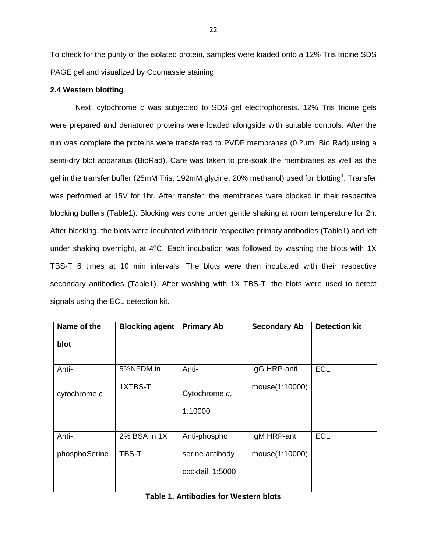To check for the purity of the isolated protein, samples were loaded onto a 12% Tris tricine SDS PAGE gel and visualized by Coomassie staining.

## **2.4 Western blotting**

Next, cytochrome c was subjected to SDS gel electrophoresis. 12% Tris tricine gels were prepared and denatured proteins were loaded alongside with suitable controls. After the run was complete the proteins were transferred to PVDF membranes (0.2µm, Bio Rad) using a semi-dry blot apparatus (BioRad). Care was taken to pre-soak the membranes as well as the gel in the transfer buffer (25mM Tris, 192mM glycine, 20% methanol) used for blotting<sup>1</sup>. Transfer was performed at 15V for 1hr. After transfer, the membranes were blocked in their respective blocking buffers (Table1). Blocking was done under gentle shaking at room temperature for 2h. After blocking, the blots were incubated with their respective primary antibodies (Table1) and left under shaking overnight, at 4ºC. Each incubation was followed by washing the blots with 1X TBS-T 6 times at 10 min intervals. The blots were then incubated with their respective secondary antibodies (Table1). After washing with 1X TBS-T, the blots were used to detect signals using the ECL detection kit.

| Name of the   | <b>Blocking agent</b> | <b>Primary Ab</b>        | <b>Secondary Ab</b> | <b>Detection kit</b> |
|---------------|-----------------------|--------------------------|---------------------|----------------------|
| blot          |                       |                          |                     |                      |
| Anti-         | 5%NFDM in             | Anti-                    | IgG HRP-anti        | <b>ECL</b>           |
| cytochrome c  | 1XTBS-T               | Cytochrome c,<br>1:10000 | mouse(1:10000)      |                      |
|               |                       |                          |                     |                      |
| Anti-         | 2% BSA in 1X          | Anti-phospho             | IgM HRP-anti        | <b>ECL</b>           |
| phosphoSerine | TBS-T                 | serine antibody          | mouse(1:10000)      |                      |
|               |                       | cocktail, 1:5000         |                     |                      |
|               |                       |                          |                     |                      |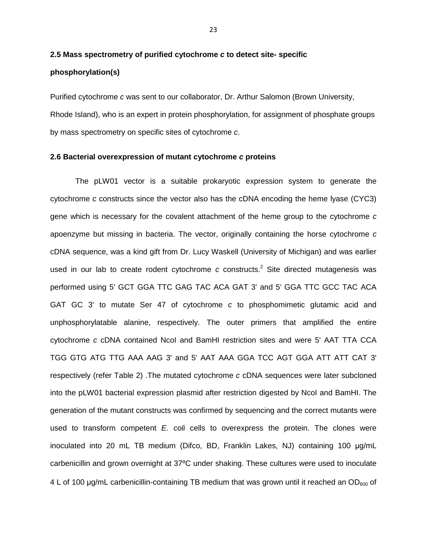# **2.5 Mass spectrometry of purified cytochrome c to detect site- specific phosphorylation(s)**

Purified cytochrome c was sent to our collaborator, Dr. Arthur Salomon (Brown University, Rhode Island), who is an expert in protein phosphorylation, for assignment of phosphate groups by mass spectrometry on specific sites of cytochrome c.

### **2.6 Bacterial overexpression of mutant cytochrome c proteins**

The pLW01 vector is a suitable prokaryotic expression system to generate the cytochrome c constructs since the vector also has the cDNA encoding the heme lyase (CYC3) gene which is necessary for the covalent attachment of the heme group to the cytochrome c apoenzyme but missing in bacteria. The vector, originally containing the horse cytochrome c cDNA sequence, was a kind gift from Dr. Lucy Waskell (University of Michigan) and was earlier used in our lab to create rodent cytochrome c constructs.<sup>2</sup> Site directed mutagenesis was performed using 5' GCT GGA TTC GAG TAC ACA GAT 3' and 5' GGA TTC GCC TAC ACA GAT GC 3' to mutate Ser 47 of cytochrome c to phosphomimetic glutamic acid and unphosphorylatable alanine, respectively. The outer primers that amplified the entire cytochrome c cDNA contained NcoI and BamHI restriction sites and were 5' AAT TTA CCA TGG GTG ATG TTG AAA AAG 3' and 5' AAT AAA GGA TCC AGT GGA ATT ATT CAT 3' respectively (refer Table 2) .The mutated cytochrome c cDNA sequences were later subcloned into the pLW01 bacterial expression plasmid after restriction digested by NcoI and BamHI. The generation of the mutant constructs was confirmed by sequencing and the correct mutants were used to transform competent  $E$ . coli cells to overexpress the protein. The clones were inoculated into 20 mL TB medium (Difco, BD, Franklin Lakes, NJ) containing 100 µg/mL carbenicillin and grown overnight at 37°C under shaking. These cultures were used to inoculate 4 L of 100  $\mu$ g/mL carbenicillin-containing TB medium that was grown until it reached an OD $_{600}$  of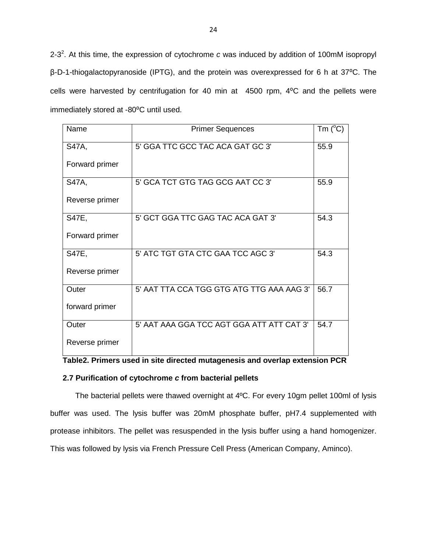2-3<sup>2</sup>. At this time, the expression of cytochrome c was induced by addition of 100mM isopropyl β-D-1-thiogalactopyranoside (IPTG), and the protein was overexpressed for 6 h at 37⁰C. The cells were harvested by centrifugation for 40 min at 4500 rpm, 4°C and the pellets were immediately stored at -80°C until used.

| Name           | <b>Primer Sequences</b>                   | Tm $(^{\circ}C)$ |
|----------------|-------------------------------------------|------------------|
| S47A,          | 5' GGA TTC GCC TAC ACA GAT GC 3'          | 55.9             |
| Forward primer |                                           |                  |
| S47A,          | 5' GCA TCT GTG TAG GCG AAT CC 3'          | 55.9             |
| Reverse primer |                                           |                  |
| <b>S47E,</b>   | 5' GCT GGA TTC GAG TAC ACA GAT 3'         | 54.3             |
| Forward primer |                                           |                  |
| S47E,          | 5' ATC TGT GTA CTC GAA TCC AGC 3'         | 54.3             |
| Reverse primer |                                           |                  |
| Outer          | 5' AAT TTA CCA TGG GTG ATG TTG AAA AAG 3' | 56.7             |
| forward primer |                                           |                  |
| Outer          | 5' AAT AAA GGA TCC AGT GGA ATT ATT CAT 3' | 54.7             |
| Reverse primer |                                           |                  |

## **2.7 Purification of cytochrome c from bacterial pellets**

The bacterial pellets were thawed overnight at 4ºC. For every 10gm pellet 100ml of lysis buffer was used. The lysis buffer was 20mM phosphate buffer, pH7.4 supplemented with protease inhibitors. The pellet was resuspended in the lysis buffer using a hand homogenizer. This was followed by lysis via French Pressure Cell Press (American Company, Aminco).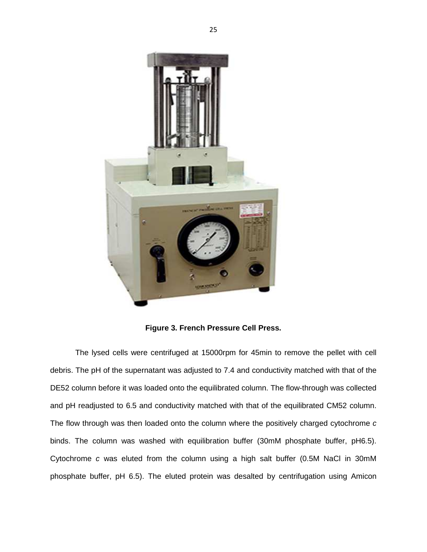

**Figure 3. French Pressure Cell Press.**

The lysed cells were centrifuged at 15000rpm for 45min to remove the pellet with cell debris. The pH of the supernatant was adjusted to 7.4 and conductivity matched with that of the DE52 column before it was loaded onto the equilibrated column. The flow-through was collected and pH readjusted to 6.5 and conductivity matched with that of the equilibrated CM52 column. The flow through was then loaded onto the column where the positively charged cytochrome  $c$ binds. The column was washed with equilibration buffer (30mM phosphate buffer, pH6.5). Cytochrome c was eluted from the column using a high salt buffer (0.5M NaCl in 30mM phosphate buffer, pH 6.5). The eluted protein was desalted by centrifugation using Amicon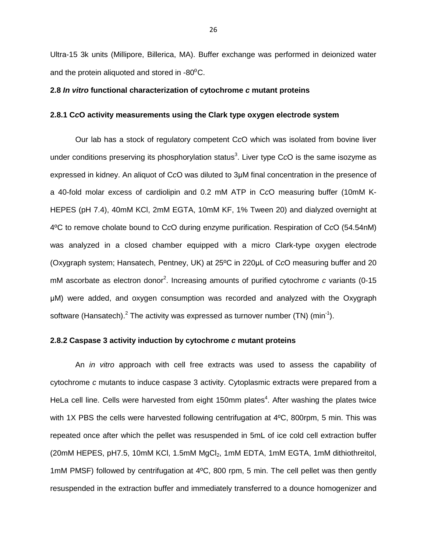Ultra-15 3k units (Millipore, Billerica, MA). Buffer exchange was performed in deionized water and the protein aliquoted and stored in  $-80^{\circ}$ C.

### **2.8 In vitro functional characterization of cytochrome c mutant proteins**

## **2.8.1 CcO activity measurements using the Clark type oxygen electrode system**

Our lab has a stock of regulatory competent CcO which was isolated from bovine liver under conditions preserving its phosphorylation status<sup>3</sup>. Liver type CcO is the same isozyme as expressed in kidney. An aliquot of CcO was diluted to 3µM final concentration in the presence of a 40-fold molar excess of cardiolipin and 0.2 mM ATP in CcO measuring buffer (10mM K-HEPES (pH 7.4), 40mM KCl, 2mM EGTA, 10mM KF, 1% Tween 20) and dialyzed overnight at 4ºC to remove cholate bound to CcO during enzyme purification. Respiration of CcO (54.54nM) was analyzed in a closed chamber equipped with a micro Clark-type oxygen electrode (Oxygraph system; Hansatech, Pentney, UK) at 25ºC in 220µL of CcO measuring buffer and 20 mM ascorbate as electron donor<sup>2</sup>. Increasing amounts of purified cytochrome c variants (0-15 µM) were added, and oxygen consumption was recorded and analyzed with the Oxygraph software (Hansatech).<sup>2</sup> The activity was expressed as turnover number (TN) (min<sup>-1</sup>).

## **2.8.2 Caspase 3 activity induction by cytochrome c mutant proteins**

An *in vitro* approach with cell free extracts was used to assess the capability of cytochrome c mutants to induce caspase 3 activity. Cytoplasmic extracts were prepared from a HeLa cell line. Cells were harvested from eight 150mm plates<sup>4</sup>. After washing the plates twice with 1X PBS the cells were harvested following centrifugation at 4°C, 800rpm, 5 min. This was repeated once after which the pellet was resuspended in 5mL of ice cold cell extraction buffer (20mM HEPES, pH7.5, 10mM KCl, 1.5mM MgCl<sub>2</sub>, 1mM EDTA, 1mM EGTA, 1mM dithiothreitol, 1mM PMSF) followed by centrifugation at 4ºC, 800 rpm, 5 min. The cell pellet was then gently resuspended in the extraction buffer and immediately transferred to a dounce homogenizer and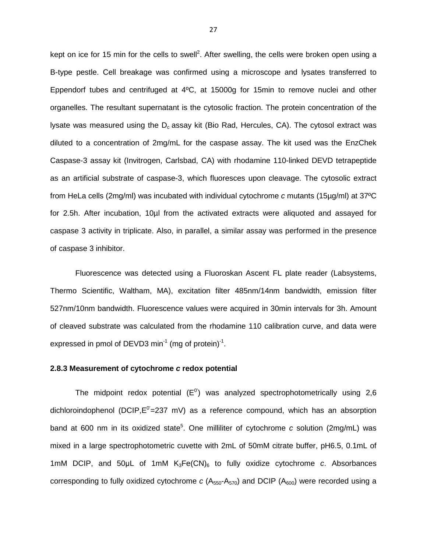kept on ice for 15 min for the cells to swell<sup>2</sup>. After swelling, the cells were broken open using a B-type pestle. Cell breakage was confirmed using a microscope and lysates transferred to Eppendorf tubes and centrifuged at 4ºC, at 15000g for 15min to remove nuclei and other organelles. The resultant supernatant is the cytosolic fraction. The protein concentration of the lysate was measured using the  $D_c$  assay kit (Bio Rad, Hercules, CA). The cytosol extract was diluted to a concentration of 2mg/mL for the caspase assay. The kit used was the EnzChek Caspase-3 assay kit (Invitrogen, Carlsbad, CA) with rhodamine 110-linked DEVD tetrapeptide as an artificial substrate of caspase-3, which fluoresces upon cleavage. The cytosolic extract from HeLa cells (2mg/ml) was incubated with individual cytochrome c mutants (15µg/ml) at 37ºC for 2.5h. After incubation, 10µl from the activated extracts were aliquoted and assayed for caspase 3 activity in triplicate. Also, in parallel, a similar assay was performed in the presence of caspase 3 inhibitor.

Fluorescence was detected using a Fluoroskan Ascent FL plate reader (Labsystems, Thermo Scientific, Waltham, MA), excitation filter 485nm/14nm bandwidth, emission filter 527nm/10nm bandwidth. Fluorescence values were acquired in 30min intervals for 3h. Amount of cleaved substrate was calculated from the rhodamine 110 calibration curve, and data were expressed in pmol of DEVD3 min<sup>-1</sup> (mg of protein)<sup>-1</sup>.

### **2.8.3 Measurement of cytochrome c redox potential**

The midpoint redox potential  $(E^0)$  was analyzed spectrophotometrically using 2,6 dichloroindophenol (DCIP, $E^{0}$ =237 mV) as a reference compound, which has an absorption band at 600 nm in its oxidized state<sup>5</sup>. One milliliter of cytochrome c solution (2mg/mL) was mixed in a large spectrophotometric cuvette with 2mL of 50mM citrate buffer, pH6.5, 0.1mL of 1mM DCIP, and 50 $\mu$ L of 1mM K<sub>3</sub>Fe(CN)<sub>6</sub> to fully oxidize cytochrome c. Absorbances corresponding to fully oxidized cytochrome  $c$  (A<sub>550</sub>-A<sub>570</sub>) and DCIP (A<sub>600</sub>) were recorded using a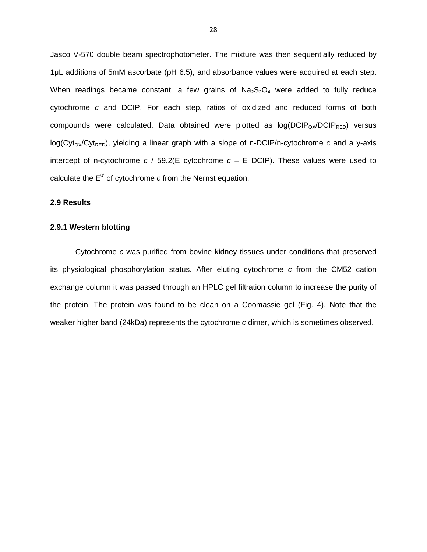Jasco V-570 double beam spectrophotometer. The mixture was then sequentially reduced by 1µL additions of 5mM ascorbate (pH 6.5), and absorbance values were acquired at each step. When readings became constant, a few grains of  $Na<sub>2</sub>S<sub>2</sub>O<sub>4</sub>$  were added to fully reduce cytochrome c and DCIP. For each step, ratios of oxidized and reduced forms of both compounds were calculated. Data obtained were plotted as  $log(DCIP<sub>OX</sub>/DCIP<sub>RED</sub>)$  versus  $log(Cyt_{OX}/Cyt_{RED})$ , yielding a linear graph with a slope of n-DCIP/n-cytochrome c and a y-axis intercept of n-cytochrome  $c$  / 59.2(E cytochrome  $c - E$  DCIP). These values were used to calculate the  $E^0$  of cytochrome c from the Nernst equation.

# **2.9 Results**

## **2.9.1 Western blotting**

Cytochrome c was purified from bovine kidney tissues under conditions that preserved its physiological phosphorylation status. After eluting cytochrome c from the CM52 cation exchange column it was passed through an HPLC gel filtration column to increase the purity of the protein. The protein was found to be clean on a Coomassie gel (Fig. 4). Note that the weaker higher band (24kDa) represents the cytochrome c dimer, which is sometimes observed.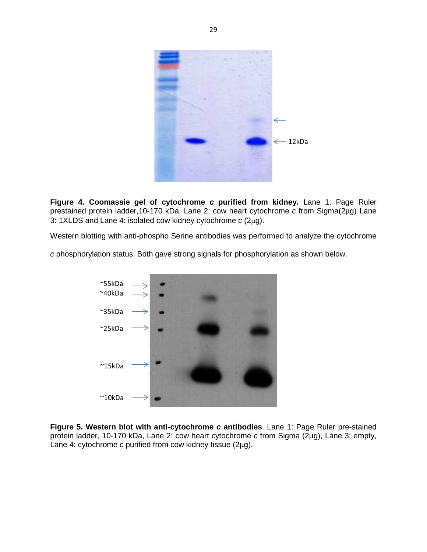

**Figure 4. Coomassie gel of cytochrome c purified from kidney.** Lane 1: Page Ruler prestained protein ladder,10-170 kDa, Lane 2: cow heart cytochrome c from Sigma(2µg) Lane 3: 1XLDS and Lane 4: isolated cow kidney cytochrome  $c$  (2 $\mu$ g).

Western blotting with anti-phospho Serine antibodies was performed to analyze the cytochrome

c phosphorylation status. Both gave strong signals for phosphorylation as shown below.



**Figure 5. Western blot with anti-cytochrome c antibodies**. Lane 1: Page Ruler pre-stained protein ladder, 10-170 kDa, Lane 2: cow heart cytochrome c from Sigma (2µg), Lane 3: empty, Lane 4: cytochrome c purified from cow kidney tissue (2µg).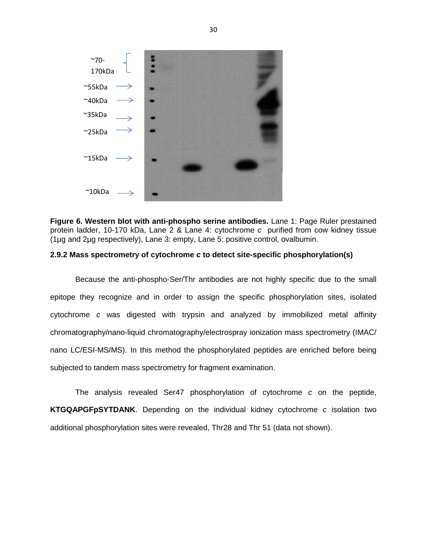

**Figure 6. Western blot with anti-phospho serine antibodies.** Lane 1: Page Ruler prestained protein ladder, 10-170 kDa, Lane 2 & Lane 4: cytochrome c purified from cow kidney tissue (1µg and 2µg respectively), Lane 3: empty, Lane 5: positive control, ovalbumin.

## **2.9.2 Mass spectrometry of cytochrome c to detect site-specific phosphorylation(s)**

Because the anti-phospho-Ser/Thr antibodies are not highly specific due to the small epitope they recognize and in order to assign the specific phosphorylation sites, isolated cytochrome c was digested with trypsin and analyzed by immobilized metal affinity chromatography/nano-liquid chromatography/electrospray ionization mass spectrometry (IMAC/ nano LC/ESI-MS/MS). In this method the phosphorylated peptides are enriched before being subjected to tandem mass spectrometry for fragment examination.

The analysis revealed Ser47 phosphorylation of cytochrome c on the peptide, **KTGQAPGFpSYTDANK**. Depending on the individual kidney cytochrome c isolation two additional phosphorylation sites were revealed, Thr28 and Thr 51 (data not shown).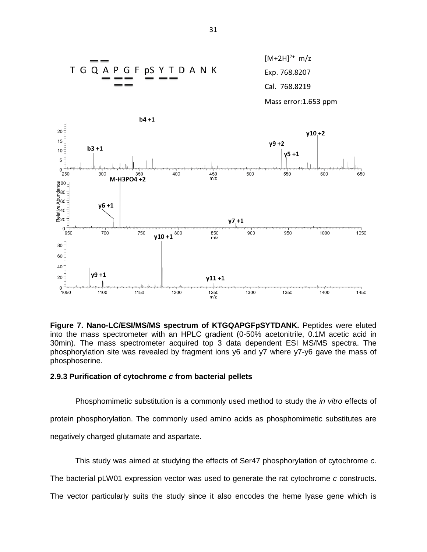

**Figure 7. Nano-LC/ESI/MS/MS spectrum of KTGQAPGFpSYTDANK.** Peptides were eluted into the mass spectrometer with an HPLC gradient (0-50% acetonitrile, 0.1M acetic acid in 30min). The mass spectrometer acquired top 3 data dependent ESI MS/MS spectra. The phosphorylation site was revealed by fragment ions y6 and y7 where y7-y6 gave the mass of phosphoserine.

## **2.9.3 Purification of cytochrome c from bacterial pellets**

Phosphomimetic substitution is a commonly used method to study the *in vitro* effects of protein phosphorylation. The commonly used amino acids as phosphomimetic substitutes are negatively charged glutamate and aspartate.

This study was aimed at studying the effects of Ser47 phosphorylation of cytochrome c.

The bacterial pLW01 expression vector was used to generate the rat cytochrome c constructs.

The vector particularly suits the study since it also encodes the heme lyase gene which is

31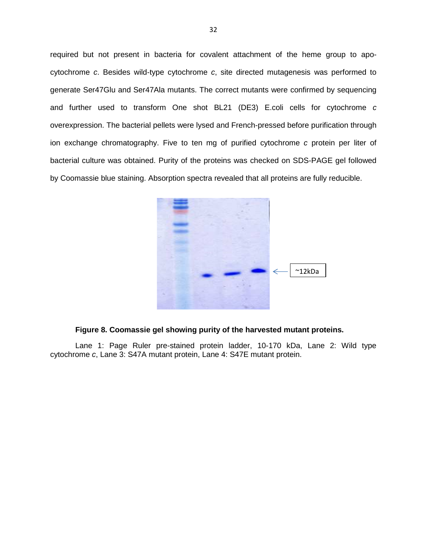required but not present in bacteria for covalent attachment of the heme group to apocytochrome c. Besides wild-type cytochrome c, site directed mutagenesis was performed to generate Ser47Glu and Ser47Ala mutants. The correct mutants were confirmed by sequencing and further used to transform One shot BL21 (DE3) E.coli cells for cytochrome c overexpression. The bacterial pellets were lysed and French-pressed before purification through ion exchange chromatography. Five to ten mg of purified cytochrome c protein per liter of bacterial culture was obtained. Purity of the proteins was checked on SDS-PAGE gel followed by Coomassie blue staining. Absorption spectra revealed that all proteins are fully reducible.



## **Figure 8. Coomassie gel showing purity of the harvested mutant proteins.**

Lane 1: Page Ruler pre-stained protein ladder, 10-170 kDa, Lane 2: Wild type cytochrome c, Lane 3: S47A mutant protein, Lane 4: S47E mutant protein.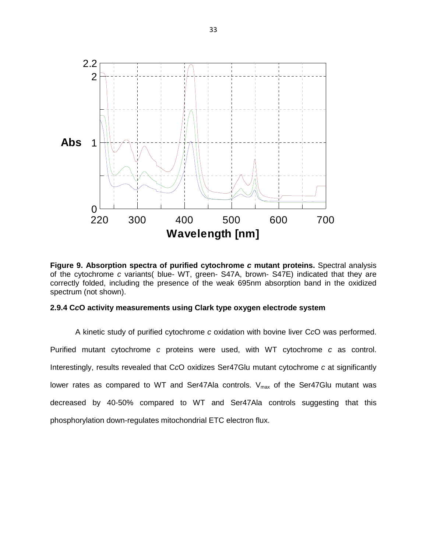

**Figure 9. Absorption spectra of purified cytochrome c mutant proteins.** Spectral analysis of the cytochrome c variants( blue- WT, green- S47A, brown- S47E) indicated that they are correctly folded, including the presence of the weak 695nm absorption band in the oxidized spectrum (not shown).

## **2.9.4 CcO activity measurements using Clark type oxygen electrode system**

A kinetic study of purified cytochrome c oxidation with bovine liver CcO was performed. Purified mutant cytochrome c proteins were used, with WT cytochrome c as control. Interestingly, results revealed that CcO oxidizes Ser47Glu mutant cytochrome c at significantly lower rates as compared to WT and Ser47Ala controls.  $V_{max}$  of the Ser47Glu mutant was decreased by 40-50% compared to WT and Ser47Ala controls suggesting that this phosphorylation down-regulates mitochondrial ETC electron flux.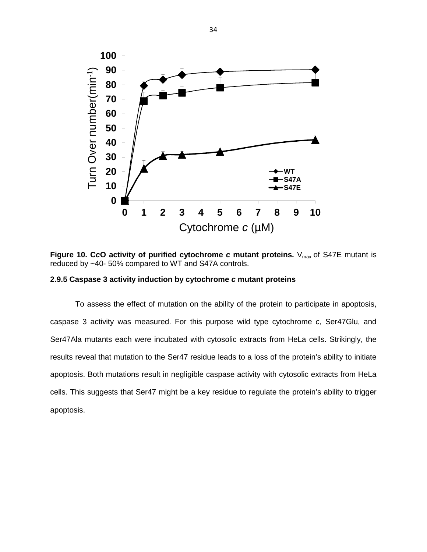

**Figure 10. CcO activity of purified cytochrome c mutant proteins.**  $V_{max}$  of S47E mutant is reduced by ~40- 50% compared to WT and S47A controls.

## **2.9.5 Caspase 3 activity induction by cytochrome c mutant proteins**

To assess the effect of mutation on the ability of the protein to participate in apoptosis, caspase 3 activity was measured. For this purpose wild type cytochrome c, Ser47Glu, and Ser47Ala mutants each were incubated with cytosolic extracts from HeLa cells. Strikingly, the results reveal that mutation to the Ser47 residue leads to a loss of the protein's ability to initiate apoptosis. Both mutations result in negligible caspase activity with cytosolic extracts from HeLa cells. This suggests that Ser47 might be a key residue to regulate the protein's ability to trigger apoptosis.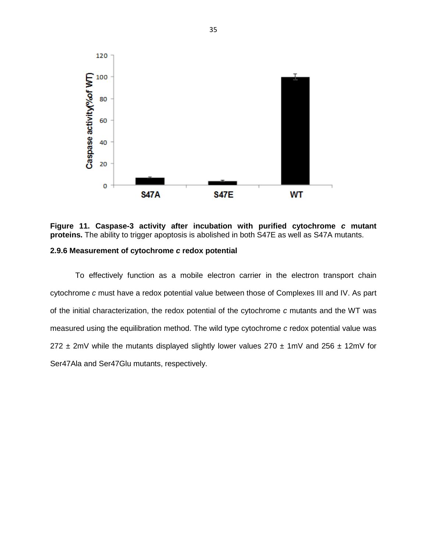



## **2.9.6 Measurement of cytochrome c redox potential**

To effectively function as a mobile electron carrier in the electron transport chain cytochrome c must have a redox potential value between those of Complexes III and IV. As part of the initial characterization, the redox potential of the cytochrome c mutants and the WT was measured using the equilibration method. The wild type cytochrome c redox potential value was 272  $\pm$  2mV while the mutants displayed slightly lower values 270  $\pm$  1mV and 256  $\pm$  12mV for Ser47Ala and Ser47Glu mutants, respectively.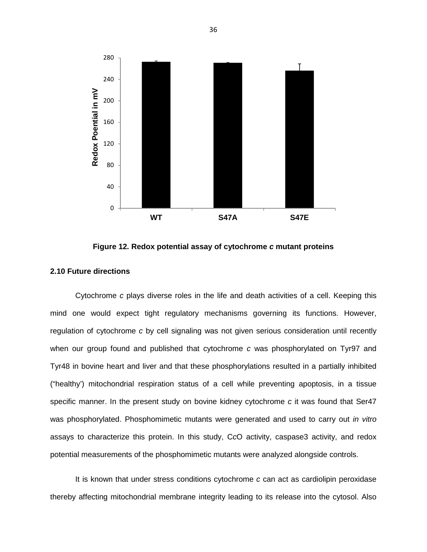

**Figure 12. Redox potential assay of cytochrome c mutant proteins**

## **2.10 Future directions**

Cytochrome c plays diverse roles in the life and death activities of a cell. Keeping this mind one would expect tight regulatory mechanisms governing its functions. However, regulation of cytochrome c by cell signaling was not given serious consideration until recently when our group found and published that cytochrome c was phosphorylated on Tyr97 and Tyr48 in bovine heart and liver and that these phosphorylations resulted in a partially inhibited ("healthy') mitochondrial respiration status of a cell while preventing apoptosis, in a tissue specific manner. In the present study on bovine kidney cytochrome c it was found that Ser47 was phosphorylated. Phosphomimetic mutants were generated and used to carry out in vitro assays to characterize this protein. In this study, CcO activity, caspase3 activity, and redox potential measurements of the phosphomimetic mutants were analyzed alongside controls.

It is known that under stress conditions cytochrome c can act as cardiolipin peroxidase thereby affecting mitochondrial membrane integrity leading to its release into the cytosol. Also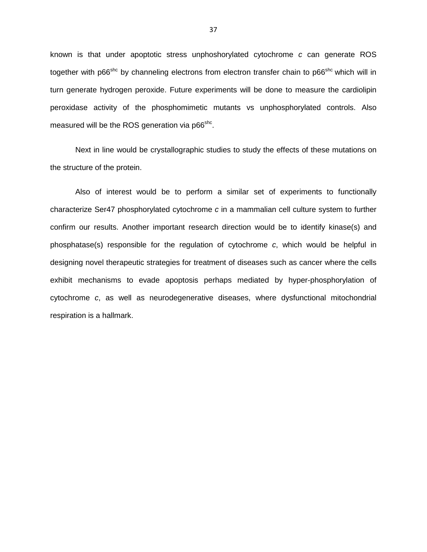known is that under apoptotic stress unphoshorylated cytochrome c can generate ROS together with p66<sup>shc</sup> by channeling electrons from electron transfer chain to p66<sup>shc</sup> which will in turn generate hydrogen peroxide. Future experiments will be done to measure the cardiolipin peroxidase activity of the phosphomimetic mutants vs unphosphorylated controls. Also measured will be the ROS generation via p66<sup>shc</sup>.

Next in line would be crystallographic studies to study the effects of these mutations on the structure of the protein.

Also of interest would be to perform a similar set of experiments to functionally characterize Ser47 phosphorylated cytochrome c in a mammalian cell culture system to further confirm our results. Another important research direction would be to identify kinase(s) and phosphatase(s) responsible for the regulation of cytochrome c, which would be helpful in designing novel therapeutic strategies for treatment of diseases such as cancer where the cells exhibit mechanisms to evade apoptosis perhaps mediated by hyper-phosphorylation of cytochrome c, as well as neurodegenerative diseases, where dysfunctional mitochondrial respiration is a hallmark.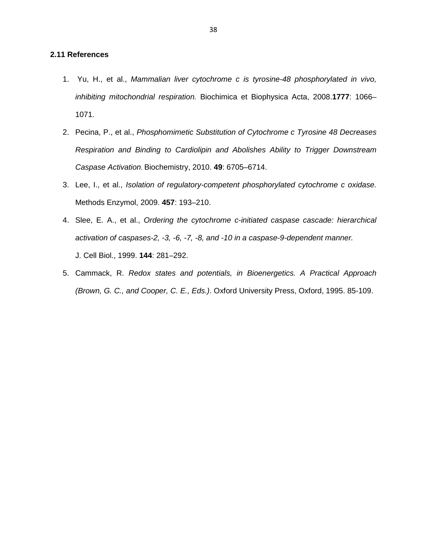# **2.11 References**

- 1. Yu, H., et al., Mammalian liver cytochrome c is tyrosine-48 phosphorylated in vivo, inhibiting mitochondrial respiration. Biochimica et Biophysica Acta, 2008.**1777**: 1066– 1071.
- 2. Pecina, P., et al., Phosphomimetic Substitution of Cytochrome c Tyrosine 48 Decreases Respiration and Binding to Cardiolipin and Abolishes Ability to Trigger Downstream Caspase Activation. Biochemistry, 2010. **49**: 6705–6714.
- 3. Lee, I., et al., Isolation of regulatory-competent phosphorylated cytochrome c oxidase. Methods Enzymol, 2009. **457**: 193–210.
- 4. Slee, E. A., et al., Ordering the cytochrome c-initiated caspase cascade: hierarchical activation of caspases-2, -3, -6, -7, -8, and -10 in a caspase-9-dependent manner. J. Cell Biol., 1999. **144**: 281–292.
- 5. Cammack, R. Redox states and potentials, in Bioenergetics. A Practical Approach (Brown, G. C., and Cooper, C. E., Eds.). Oxford University Press, Oxford, 1995. 85-109.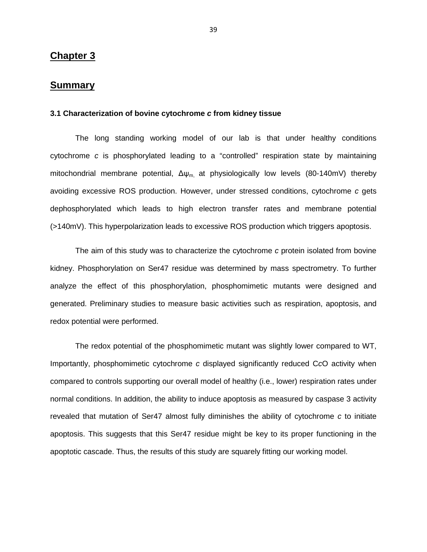# **Chapter 3**

# **Summary**

### **3.1 Characterization of bovine cytochrome c from kidney tissue**

The long standing working model of our lab is that under healthy conditions cytochrome c is phosphorylated leading to a "controlled" respiration state by maintaining mitochondrial membrane potential,  $\Delta\psi_m$  at physiologically low levels (80-140mV) thereby avoiding excessive ROS production. However, under stressed conditions, cytochrome c gets dephosphorylated which leads to high electron transfer rates and membrane potential (>140mV). This hyperpolarization leads to excessive ROS production which triggers apoptosis.

The aim of this study was to characterize the cytochrome c protein isolated from bovine kidney. Phosphorylation on Ser47 residue was determined by mass spectrometry. To further analyze the effect of this phosphorylation, phosphomimetic mutants were designed and generated. Preliminary studies to measure basic activities such as respiration, apoptosis, and redox potential were performed.

The redox potential of the phosphomimetic mutant was slightly lower compared to WT, Importantly, phosphomimetic cytochrome c displayed significantly reduced CcO activity when compared to controls supporting our overall model of healthy (i.e., lower) respiration rates under normal conditions. In addition, the ability to induce apoptosis as measured by caspase 3 activity revealed that mutation of Ser47 almost fully diminishes the ability of cytochrome c to initiate apoptosis. This suggests that this Ser47 residue might be key to its proper functioning in the apoptotic cascade. Thus, the results of this study are squarely fitting our working model.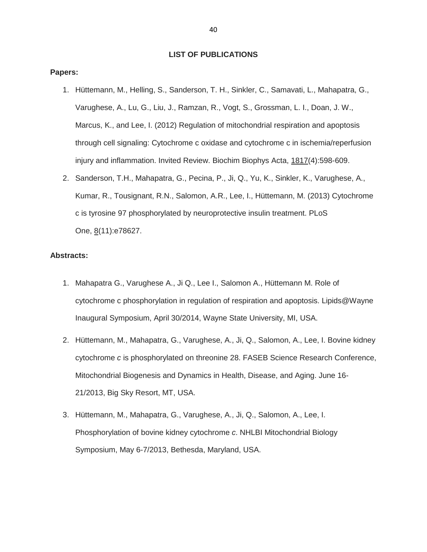# **LIST OF PUBLICATIONS**

#### **Papers:**

- 1. Hüttemann, M., Helling, S., Sanderson, T. H., Sinkler, C., Samavati, L., Mahapatra, G., Varughese, A., Lu, G., Liu, J., Ramzan, R., Vogt, S., Grossman, L. I., Doan, J. W., Marcus, K., and Lee, I. (2012) Regulation of mitochondrial respiration and apoptosis through cell signaling: Cytochrome c oxidase and cytochrome c in ischemia/reperfusion injury and inflammation. Invited Review. Biochim Biophys Acta, 1817(4):598-609.
- 2. Sanderson, T.H., Mahapatra, G., Pecina, P., Ji, Q., Yu, K., Sinkler, K., Varughese, A., Kumar, R., Tousignant, R.N., Salomon, A.R., Lee, I., Hüttemann, M. (2013) Cytochrome c is tyrosine 97 phosphorylated by neuroprotective insulin treatment. PLoS One, 8(11):e78627.

### **Abstracts:**

- 1. Mahapatra G., Varughese A., Ji Q., Lee I., Salomon A., Hüttemann M. Role of cytochrome c phosphorylation in regulation of respiration and apoptosis. Lipids@Wayne Inaugural Symposium, April 30/2014, Wayne State University, MI, USA.
- 2. Hüttemann, M., Mahapatra, G., Varughese, A., Ji, Q., Salomon, A., Lee, I. Bovine kidney cytochrome c is phosphorylated on threonine 28. FASEB Science Research Conference, Mitochondrial Biogenesis and Dynamics in Health, Disease, and Aging. June 16- 21/2013, Big Sky Resort, MT, USA.
- 3. Hüttemann, M., Mahapatra, G., Varughese, A., Ji, Q., Salomon, A., Lee, I. Phosphorylation of bovine kidney cytochrome c. NHLBI Mitochondrial Biology Symposium, May 6-7/2013, Bethesda, Maryland, USA.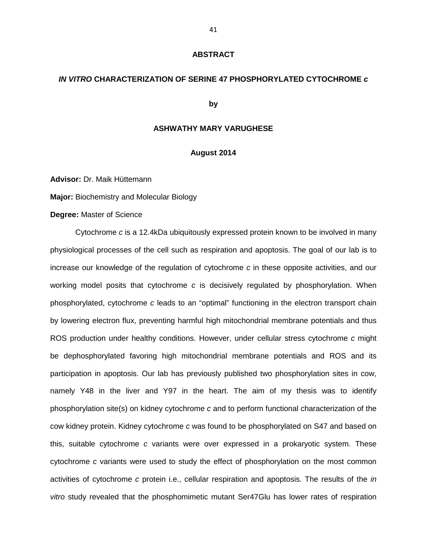### **ABSTRACT**

### **IN VITRO CHARACTERIZATION OF SERINE 47 PHOSPHORYLATED CYTOCHROME c**

### **by**

## **ASHWATHY MARY VARUGHESE**

## **August 2014**

**Advisor:** Dr. Maik Hüttemann

**Major:** Biochemistry and Molecular Biology

**Degree:** Master of Science

Cytochrome c is a 12.4kDa ubiquitously expressed protein known to be involved in many physiological processes of the cell such as respiration and apoptosis. The goal of our lab is to increase our knowledge of the regulation of cytochrome  $c$  in these opposite activities, and our working model posits that cytochrome  $c$  is decisively regulated by phosphorylation. When phosphorylated, cytochrome c leads to an "optimal" functioning in the electron transport chain by lowering electron flux, preventing harmful high mitochondrial membrane potentials and thus ROS production under healthy conditions. However, under cellular stress cytochrome c might be dephosphorylated favoring high mitochondrial membrane potentials and ROS and its participation in apoptosis. Our lab has previously published two phosphorylation sites in cow, namely Y48 in the liver and Y97 in the heart. The aim of my thesis was to identify phosphorylation site(s) on kidney cytochrome c and to perform functional characterization of the cow kidney protein. Kidney cytochrome c was found to be phosphorylated on S47 and based on this, suitable cytochrome c variants were over expressed in a prokaryotic system. These cytochrome c variants were used to study the effect of phosphorylation on the most common activities of cytochrome c protein i.e., cellular respiration and apoptosis. The results of the in vitro study revealed that the phosphomimetic mutant Ser47Glu has lower rates of respiration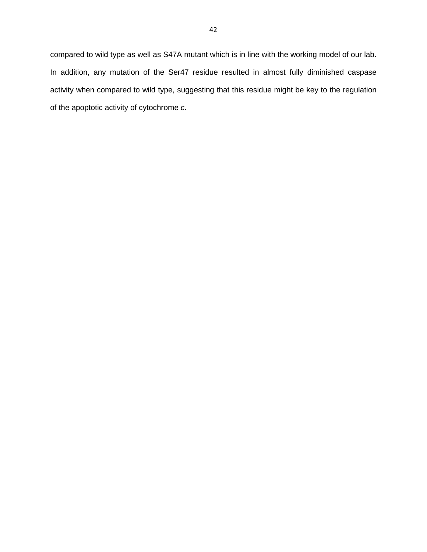compared to wild type as well as S47A mutant which is in line with the working model of our lab. In addition, any mutation of the Ser47 residue resulted in almost fully diminished caspase activity when compared to wild type, suggesting that this residue might be key to the regulation of the apoptotic activity of cytochrome c.